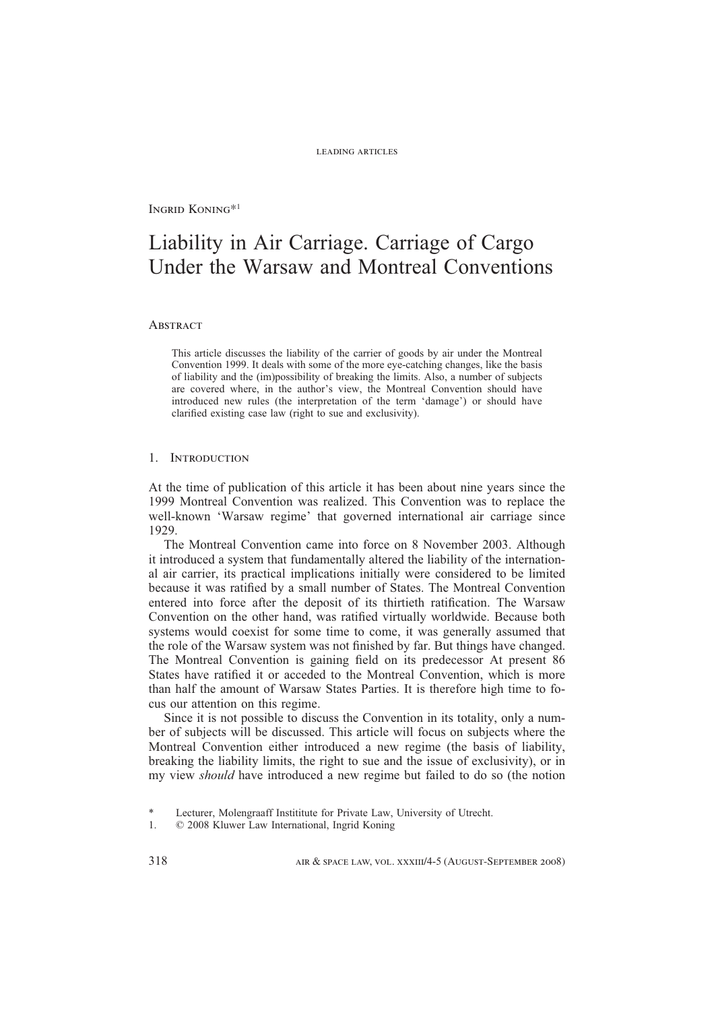Ingrid Koning\*<sup>1</sup>

# Liability in Air Carriage. Carriage of Cargo Under the Warsaw and Montreal Conventions

# **ABSTRACT**

This article discusses the liability of the carrier of goods by air under the Montreal Convention 1999. It deals with some of the more eye-catching changes, like the basis of liability and the (im)possibility of breaking the limits. Also, a number of subjects are covered where, in the author's view, the Montreal Convention should have introduced new rules (the interpretation of the term 'damage') or should have clarified existing case law (right to sue and exclusivity).

# 1. Introduction

At the time of publication of this article it has been about nine years since the 1999 Montreal Convention was realized. This Convention was to replace the well-known 'Warsaw regime' that governed international air carriage since 1929.

The Montreal Convention came into force on 8 November 2003. Although it introduced a system that fundamentally altered the liability of the international air carrier, its practical implications initially were considered to be limited because it was ratified by a small number of States. The Montreal Convention entered into force after the deposit of its thirtieth ratification. The Warsaw Convention on the other hand, was ratified virtually worldwide. Because both systems would coexist for some time to come, it was generally assumed that the role of the Warsaw system was not finished by far. But things have changed. The Montreal Convention is gaining field on its predecessor At present 86 States have ratified it or acceded to the Montreal Convention, which is more than half the amount of Warsaw States Parties. It is therefore high time to focus our attention on this regime.

Since it is not possible to discuss the Convention in its totality, only a number of subjects will be discussed. This article will focus on subjects where the Montreal Convention either introduced a new regime (the basis of liability, breaking the liability limits, the right to sue and the issue of exclusivity), or in my view *should* have introduced a new regime but failed to do so (the notion

Lecturer, Molengraaff Instititute for Private Law, University of Utrecht.

<sup>1. © 2008</sup> Kluwer Law International, Ingrid Koning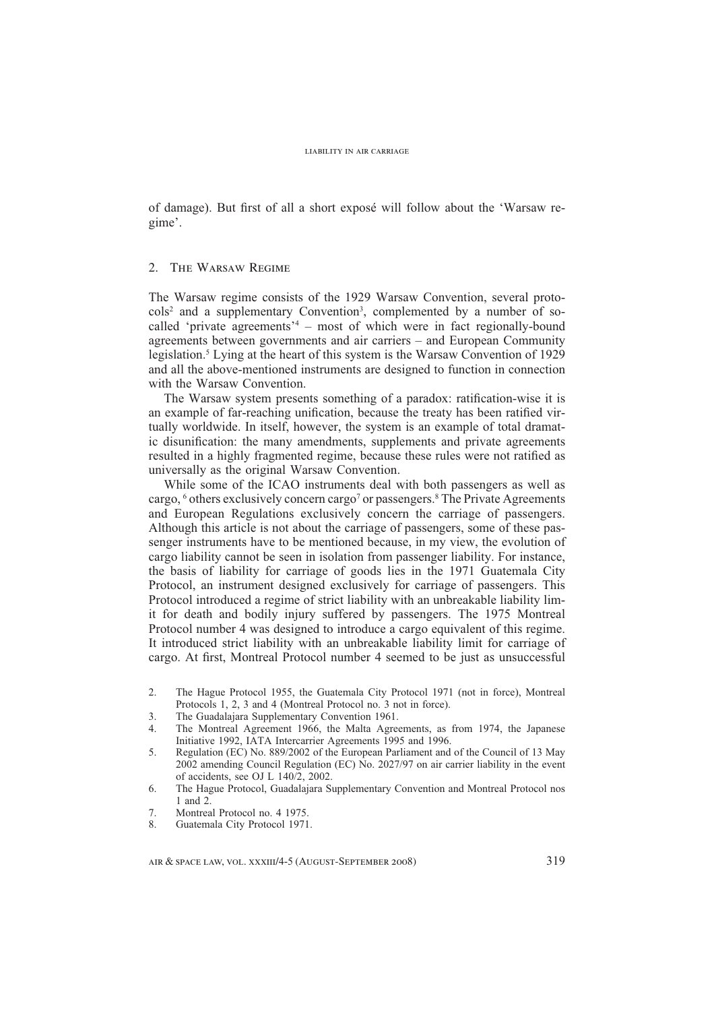of damage). But first of all a short exposé will follow about the 'Warsaw regime'.

# 2. The Warsaw Regime

The Warsaw regime consists of the 1929 Warsaw Convention, several protocols<sup>2</sup> and a supplementary Convention<sup>3</sup>, complemented by a number of socalled 'private agreements<sup>24</sup> – most of which were in fact regionally-bound agreements between governments and air carriers – and European Community legislation.<sup>5</sup> Lying at the heart of this system is the Warsaw Convention of 1929 and all the above-mentioned instruments are designed to function in connection with the Warsaw Convention.

The Warsaw system presents something of a paradox: ratification-wise it is an example of far-reaching unification, because the treaty has been ratified virtually worldwide. In itself, however, the system is an example of total dramatic disunification: the many amendments, supplements and private agreements resulted in a highly fragmented regime, because these rules were not ratified as universally as the original Warsaw Convention.

While some of the ICAO instruments deal with both passengers as well as cargo, <sup>6</sup> others exclusively concern cargo<sup>7</sup> or passengers.<sup>8</sup> The Private Agreements and European Regulations exclusively concern the carriage of passengers. Although this article is not about the carriage of passengers, some of these passenger instruments have to be mentioned because, in my view, the evolution of cargo liability cannot be seen in isolation from passenger liability. For instance, the basis of liability for carriage of goods lies in the 1971 Guatemala City Protocol, an instrument designed exclusively for carriage of passengers. This Protocol introduced a regime of strict liability with an unbreakable liability limit for death and bodily injury suffered by passengers. The 1975 Montreal Protocol number 4 was designed to introduce a cargo equivalent of this regime. It introduced strict liability with an unbreakable liability limit for carriage of cargo. At first, Montreal Protocol number 4 seemed to be just as unsuccessful

- 2. The Hague Protocol 1955, the Guatemala City Protocol 1971 (not in force), Montreal Protocols 1, 2, 3 and 4 (Montreal Protocol no. 3 not in force).
- 3. The Guadalajara Supplementary Convention 1961.<br>4. The Montreal Agreement 1966, the Malta Agree
- The Montreal Agreement 1966, the Malta Agreements, as from 1974, the Japanese Initiative 1992, IATA Intercarrier Agreements 1995 and 1996.
- 5. Regulation (EC) No. 889/2002 of the European Parliament and of the Council of 13 May 2002 amending Council Regulation (EC) No. 2027/97 on air carrier liability in the event of accidents, see OJ L 140/2, 2002.
- 6. The Hague Protocol, Guadalajara Supplementary Convention and Montreal Protocol nos 1 and 2.
- 7. Montreal Protocol no. 4 1975.
- 8. Guatemala City Protocol 1971.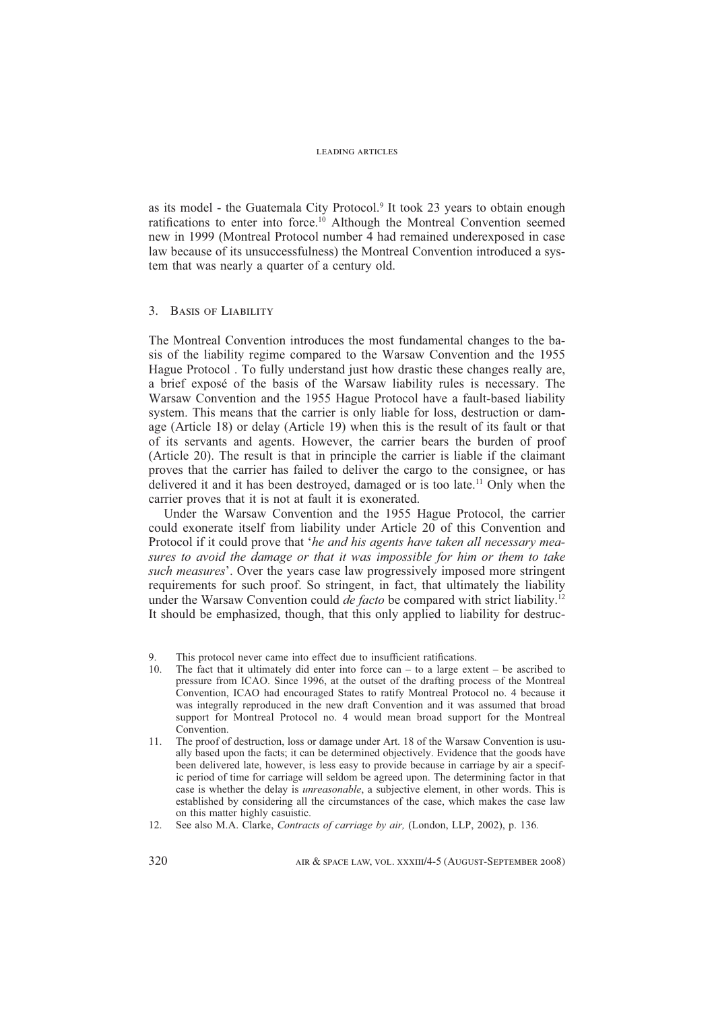as its model - the Guatemala City Protocol.<sup>9</sup> It took 23 years to obtain enough ratifications to enter into force.<sup>10</sup> Although the Montreal Convention seemed new in 1999 (Montreal Protocol number 4 had remained underexposed in case law because of its unsuccessfulness) the Montreal Convention introduced a system that was nearly a quarter of a century old.

# 3. Basis of Liability

The Montreal Convention introduces the most fundamental changes to the basis of the liability regime compared to the Warsaw Convention and the 1955 Hague Protocol . To fully understand just how drastic these changes really are, a brief exposé of the basis of the Warsaw liability rules is necessary. The Warsaw Convention and the 1955 Hague Protocol have a fault-based liability system. This means that the carrier is only liable for loss, destruction or damage (Article 18) or delay (Article 19) when this is the result of its fault or that of its servants and agents. However, the carrier bears the burden of proof (Article 20). The result is that in principle the carrier is liable if the claimant proves that the carrier has failed to deliver the cargo to the consignee, or has delivered it and it has been destroyed, damaged or is too late.11 Only when the carrier proves that it is not at fault it is exonerated.

Under the Warsaw Convention and the 1955 Hague Protocol, the carrier could exonerate itself from liability under Article 20 of this Convention and Protocol if it could prove that '*he and his agents have taken all necessary measures to avoid the damage or that it was impossible for him or them to take such measures*'. Over the years case law progressively imposed more stringent requirements for such proof. So stringent, in fact, that ultimately the liability under the Warsaw Convention could *de facto* be compared with strict liability.12 It should be emphasized, though, that this only applied to liability for destruc-

- The fact that it ultimately did enter into force can  $-$  to a large extent  $-$  be ascribed to pressure from ICAO. Since 1996, at the outset of the drafting process of the Montreal Convention, ICAO had encouraged States to ratify Montreal Protocol no. 4 because it was integrally reproduced in the new draft Convention and it was assumed that broad support for Montreal Protocol no. 4 would mean broad support for the Montreal Convention.
- 11. The proof of destruction, loss or damage under Art. 18 of the Warsaw Convention is usually based upon the facts; it can be determined objectively. Evidence that the goods have been delivered late, however, is less easy to provide because in carriage by air a specific period of time for carriage will seldom be agreed upon. The determining factor in that case is whether the delay is *unreasonable*, a subjective element, in other words. This is established by considering all the circumstances of the case, which makes the case law on this matter highly casuistic.
- 12. See also M.A. Clarke, *Contracts of carriage by air,* (London, LLP, 2002), p. 136*.*

<sup>9.</sup> This protocol never came into effect due to insufficient ratifications.<br>10. The fect that it ultimately did enter into force can  $-$  to a large extended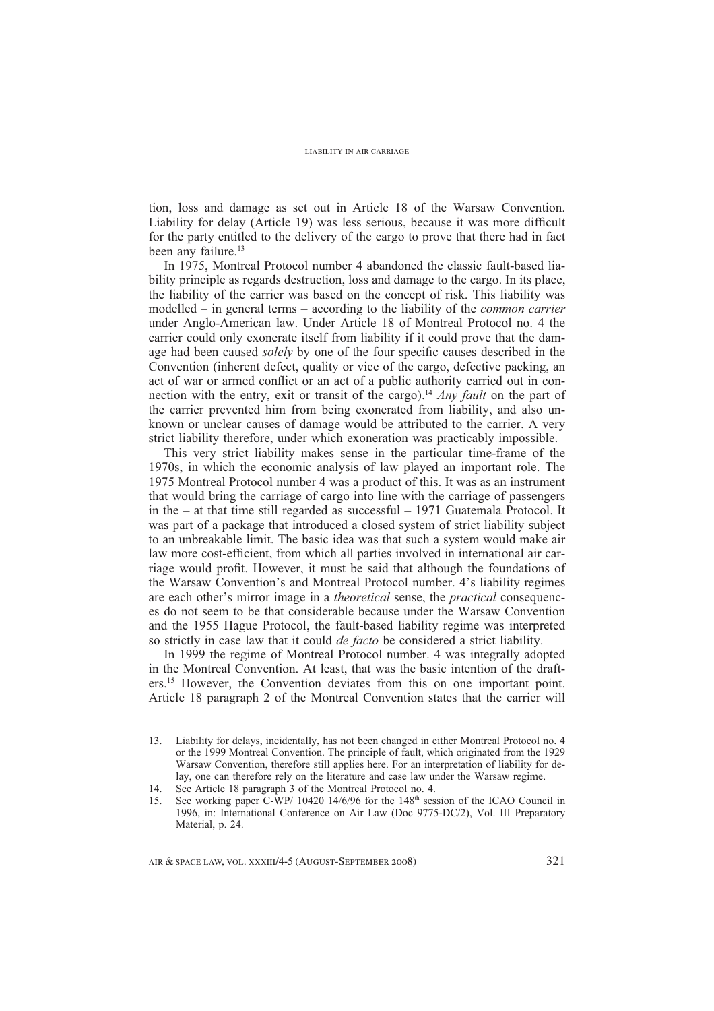tion, loss and damage as set out in Article 18 of the Warsaw Convention. Liability for delay (Article 19) was less serious, because it was more difficult for the party entitled to the delivery of the cargo to prove that there had in fact been any failure.<sup>13</sup>

In 1975, Montreal Protocol number 4 abandoned the classic fault-based liability principle as regards destruction, loss and damage to the cargo. In its place, the liability of the carrier was based on the concept of risk. This liability was modelled – in general terms – according to the liability of the *common carrier*  under Anglo-American law. Under Article 18 of Montreal Protocol no. 4 the carrier could only exonerate itself from liability if it could prove that the damage had been caused *solely* by one of the four specific causes described in the Convention (inherent defect, quality or vice of the cargo, defective packing, an act of war or armed conflict or an act of a public authority carried out in connection with the entry, exit or transit of the cargo).14 *Any fault* on the part of the carrier prevented him from being exonerated from liability, and also unknown or unclear causes of damage would be attributed to the carrier. A very strict liability therefore, under which exoneration was practicably impossible.

This very strict liability makes sense in the particular time-frame of the 1970s, in which the economic analysis of law played an important role. The 1975 Montreal Protocol number 4 was a product of this. It was as an instrument that would bring the carriage of cargo into line with the carriage of passengers in the – at that time still regarded as successful – 1971 Guatemala Protocol. It was part of a package that introduced a closed system of strict liability subject to an unbreakable limit. The basic idea was that such a system would make air law more cost-efficient, from which all parties involved in international air carriage would profit. However, it must be said that although the foundations of the Warsaw Convention's and Montreal Protocol number. 4's liability regimes are each other's mirror image in a *theoretical* sense, the *practical* consequences do not seem to be that considerable because under the Warsaw Convention and the 1955 Hague Protocol, the fault-based liability regime was interpreted so strictly in case law that it could *de facto* be considered a strict liability.

In 1999 the regime of Montreal Protocol number. 4 was integrally adopted in the Montreal Convention. At least, that was the basic intention of the drafters.<sup>15</sup> However, the Convention deviates from this on one important point. Article 18 paragraph 2 of the Montreal Convention states that the carrier will

<sup>13.</sup> Liability for delays, incidentally, has not been changed in either Montreal Protocol no. 4 or the 1999 Montreal Convention. The principle of fault, which originated from the 1929 Warsaw Convention, therefore still applies here. For an interpretation of liability for delay, one can therefore rely on the literature and case law under the Warsaw regime.

<sup>14.</sup> See Article 18 paragraph 3 of the Montreal Protocol no. 4.<br>15. See working paper C-WP/ 10420 14/6/96 for the 148<sup>th</sup> ses

See working paper  $C-WP/ 10420 14/6/96$  for the  $148<sup>th</sup>$  session of the ICAO Council in 1996, in: International Conference on Air Law (Doc 9775-DC/2), Vol. III Preparatory Material, p. 24.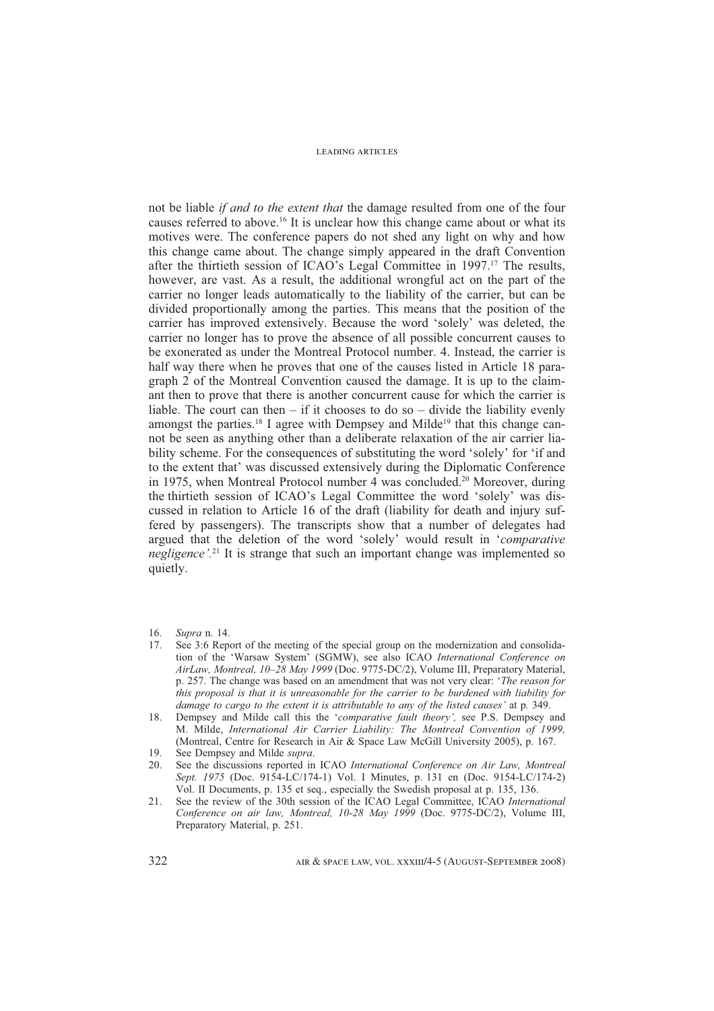not be liable *if and to the extent that* the damage resulted from one of the four causes referred to above.16 It is unclear how this change came about or what its motives were. The conference papers do not shed any light on why and how this change came about. The change simply appeared in the draft Convention after the thirtieth session of ICAO's Legal Committee in 1997.17 The results, however, are vast. As a result, the additional wrongful act on the part of the carrier no longer leads automatically to the liability of the carrier, but can be divided proportionally among the parties. This means that the position of the carrier has improved extensively. Because the word 'solely' was deleted, the carrier no longer has to prove the absence of all possible concurrent causes to be exonerated as under the Montreal Protocol number. 4. Instead, the carrier is half way there when he proves that one of the causes listed in Article 18 paragraph 2 of the Montreal Convention caused the damage. It is up to the claimant then to prove that there is another concurrent cause for which the carrier is liable. The court can then  $-$  if it chooses to do so  $-$  divide the liability evenly amongst the parties.<sup>18</sup> I agree with Dempsey and Milde<sup>19</sup> that this change cannot be seen as anything other than a deliberate relaxation of the air carrier liability scheme. For the consequences of substituting the word 'solely' for 'if and to the extent that' was discussed extensively during the Diplomatic Conference in 1975, when Montreal Protocol number 4 was concluded.<sup>20</sup> Moreover, during the thirtieth session of ICAO's Legal Committee the word 'solely' was discussed in relation to Article 16 of the draft (liability for death and injury suffered by passengers). The transcripts show that a number of delegates had argued that the deletion of the word 'solely' would result in '*comparative negligence*<sup>'.21</sup> It is strange that such an important change was implemented so quietly.

- 16. *Supra* n. 14.
- 17. See 3:6 Report of the meeting of the special group on the modernization and consolidation of the 'Warsaw System' (SGMW), see also ICAO *International Conference on AirLaw, Montreal, 10–28 May 1999* (Doc. 9775-DC/2), Volume III, Preparatory Material, p. 257. The change was based on an amendment that was not very clear: '*The reason for this proposal is that it is unreasonable for the carrier to be burdened with liability for damage to cargo to the extent it is attributable to any of the listed causes'* at p*.* 349.
- 18. Dempsey and Milde call this the '*comparative fault theory',* see P.S. Dempsey and M. Milde, *International Air Carrier Liability: The Montreal Convention of 1999,*  (Montreal, Centre for Research in Air & Space Law McGill University 2005), p. 167.

- 20. See the discussions reported in ICAO *International Conference on Air Law, Montreal Sept. 1975* (Doc. 9154-LC/174-1) Vol. I Minutes, p. 131 en (Doc. 9154-LC/174-2) Vol. II Documents, p. 135 et seq., especially the Swedish proposal at p. 135, 136.
- 21. See the review of the 30th session of the ICAO Legal Committee, ICAO *International Conference on air law, Montreal, 10-28 May 1999* (Doc. 9775-DC/2), Volume III, Preparatory Material, p. 251.

<sup>19.</sup> See Dempsey and Milde *supra*.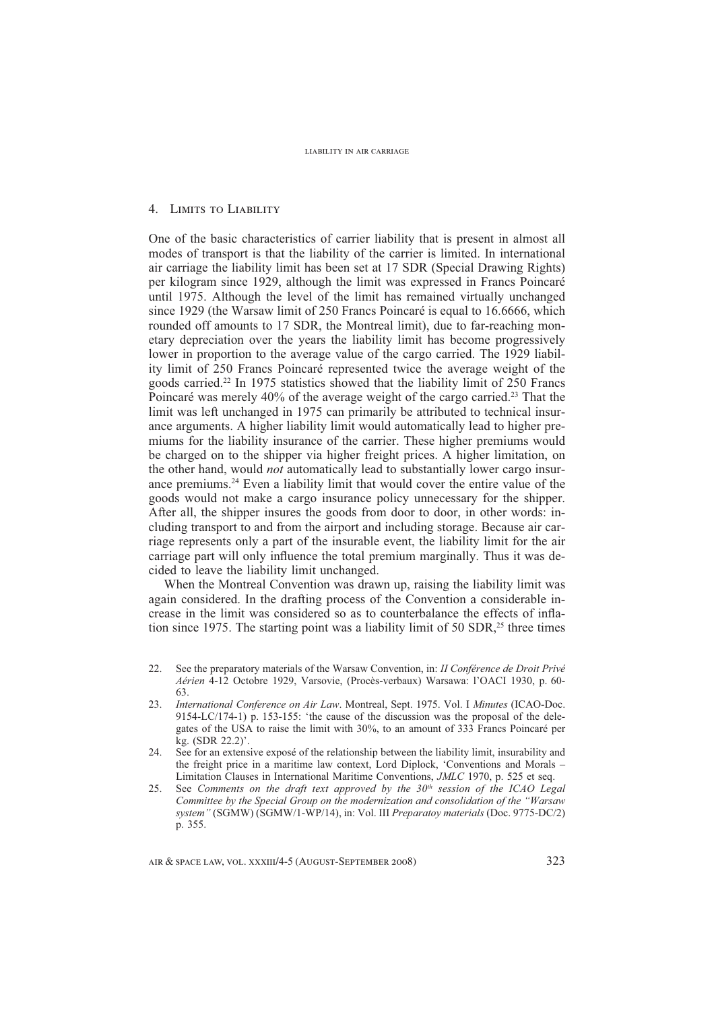# 4. Limits to Liability

One of the basic characteristics of carrier liability that is present in almost all modes of transport is that the liability of the carrier is limited. In international air carriage the liability limit has been set at 17 SDR (Special Drawing Rights) per kilogram since 1929, although the limit was expressed in Francs Poincaré until 1975. Although the level of the limit has remained virtually unchanged since 1929 (the Warsaw limit of 250 Francs Poincaré is equal to 16.6666, which rounded off amounts to 17 SDR, the Montreal limit), due to far-reaching monetary depreciation over the years the liability limit has become progressively lower in proportion to the average value of the cargo carried. The 1929 liability limit of 250 Francs Poincaré represented twice the average weight of the goods carried.22 In 1975 statistics showed that the liability limit of 250 Francs Poincaré was merely 40% of the average weight of the cargo carried.23 That the limit was left unchanged in 1975 can primarily be attributed to technical insurance arguments. A higher liability limit would automatically lead to higher premiums for the liability insurance of the carrier. These higher premiums would be charged on to the shipper via higher freight prices. A higher limitation, on the other hand, would *not* automatically lead to substantially lower cargo insurance premiums.24 Even a liability limit that would cover the entire value of the goods would not make a cargo insurance policy unnecessary for the shipper. After all, the shipper insures the goods from door to door, in other words: including transport to and from the airport and including storage. Because air carriage represents only a part of the insurable event, the liability limit for the air carriage part will only influence the total premium marginally. Thus it was decided to leave the liability limit unchanged.

When the Montreal Convention was drawn up, raising the liability limit was again considered. In the drafting process of the Convention a considerable increase in the limit was considered so as to counterbalance the effects of inflation since 1975. The starting point was a liability limit of 50 SDR, $2<sup>5</sup>$  three times

- 22. See the preparatory materials of the Warsaw Convention, in: *II Conférence de Droit Privé Aérien* 4-12 Octobre 1929, Varsovie, (Procès-verbaux) Warsawa: l'OACI 1930, p. 60- 63.
- 23. *International Conference on Air Law*. Montreal, Sept. 1975. Vol. I *Minutes* (ICAO-Doc. 9154-LC/174-1) p. 153-155: 'the cause of the discussion was the proposal of the delegates of the USA to raise the limit with 30%, to an amount of 333 Francs Poincaré per kg. (SDR 22.2)'.
- 24. See for an extensive exposé of the relationship between the liability limit, insurability and the freight price in a maritime law context, Lord Diplock, 'Conventions and Morals – Limitation Clauses in International Maritime Conventions, *JMLC* 1970, p. 525 et seq.
- 25. See *Comments on the draft text approved by the 30th session of the ICAO Legal Committee by the Special Group on the modernization and consolidation of the "Warsaw system"* (SGMW) (SGMW/1-WP/14), in: Vol. III *Preparatoy materials* (Doc. 9775-DC/2) p. 355.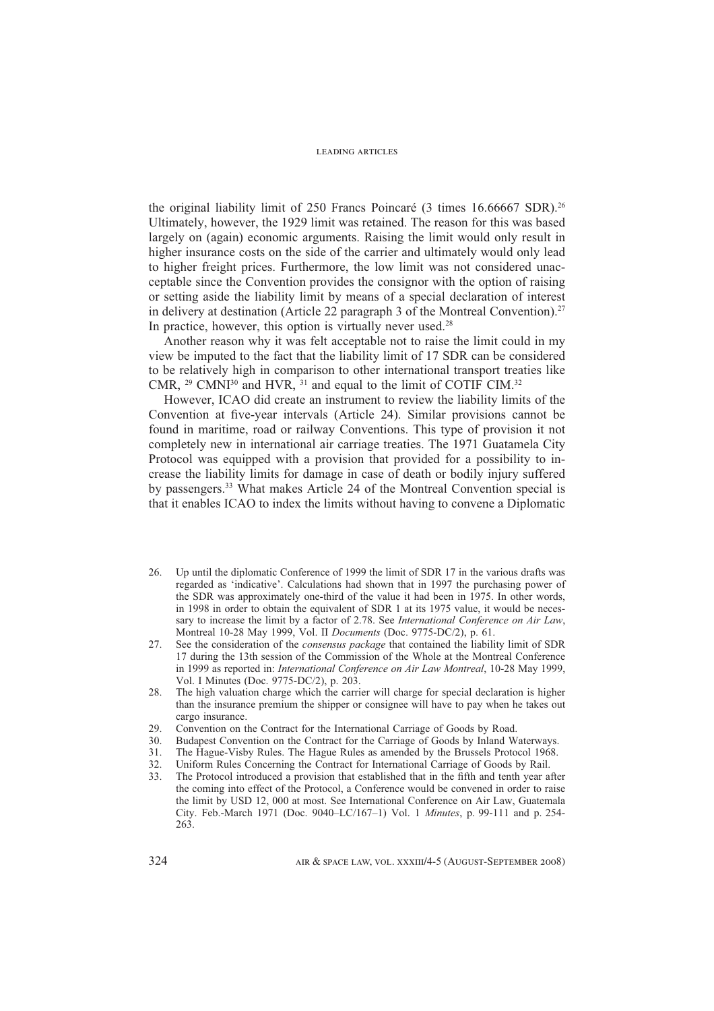the original liability limit of 250 Francs Poincaré (3 times 16.66667 SDR).<sup>26</sup> Ultimately, however, the 1929 limit was retained. The reason for this was based largely on (again) economic arguments. Raising the limit would only result in higher insurance costs on the side of the carrier and ultimately would only lead to higher freight prices. Furthermore, the low limit was not considered unacceptable since the Convention provides the consignor with the option of raising or setting aside the liability limit by means of a special declaration of interest in delivery at destination (Article 22 paragraph 3 of the Montreal Convention).<sup>27</sup> In practice, however, this option is virtually never used. $28$ 

Another reason why it was felt acceptable not to raise the limit could in my view be imputed to the fact that the liability limit of 17 SDR can be considered to be relatively high in comparison to other international transport treaties like CMR, <sup>29</sup> CMNI<sup>30</sup> and HVR, <sup>31</sup> and equal to the limit of COTIF CIM.<sup>32</sup>

However, ICAO did create an instrument to review the liability limits of the Convention at five-year intervals (Article 24). Similar provisions cannot be found in maritime, road or railway Conventions. This type of provision it not completely new in international air carriage treaties. The 1971 Guatamela City Protocol was equipped with a provision that provided for a possibility to increase the liability limits for damage in case of death or bodily injury suffered by passengers.33 What makes Article 24 of the Montreal Convention special is that it enables ICAO to index the limits without having to convene a Diplomatic

- 26. Up until the diplomatic Conference of 1999 the limit of SDR 17 in the various drafts was regarded as 'indicative'. Calculations had shown that in 1997 the purchasing power of the SDR was approximately one-third of the value it had been in 1975. In other words, in 1998 in order to obtain the equivalent of SDR 1 at its 1975 value, it would be necessary to increase the limit by a factor of 2.78. See *International Conference on Air Law*, Montreal 10-28 May 1999, Vol. II *Documents* (Doc. 9775-DC/2), p. 61.
- 27. See the consideration of the *consensus package* that contained the liability limit of SDR 17 during the 13th session of the Commission of the Whole at the Montreal Conference in 1999 as reported in: *International Conference on Air Law Montreal*, 10-28 May 1999, Vol. I Minutes (Doc. 9775-DC/2), p. 203.
- 28. The high valuation charge which the carrier will charge for special declaration is higher than the insurance premium the shipper or consignee will have to pay when he takes out cargo insurance.
- 29. Convention on the Contract for the International Carriage of Goods by Road.<br>30. Budapest Convention on the Contract for the Carriage of Goods by Inland W
- Budapest Convention on the Contract for the Carriage of Goods by Inland Waterways.
- 31. The Hague-Visby Rules. The Hague Rules as amended by the Brussels Protocol 1968.
- 32. Uniform Rules Concerning the Contract for International Carriage of Goods by Rail.
- 33. The Protocol introduced a provision that established that in the fifth and tenth year after the coming into effect of the Protocol, a Conference would be convened in order to raise the limit by USD 12, 000 at most. See International Conference on Air Law, Guatemala City. Feb.-March 1971 (Doc. 9040–LC/167–1) Vol. 1 *Minutes*, p. 99-111 and p. 254- 263.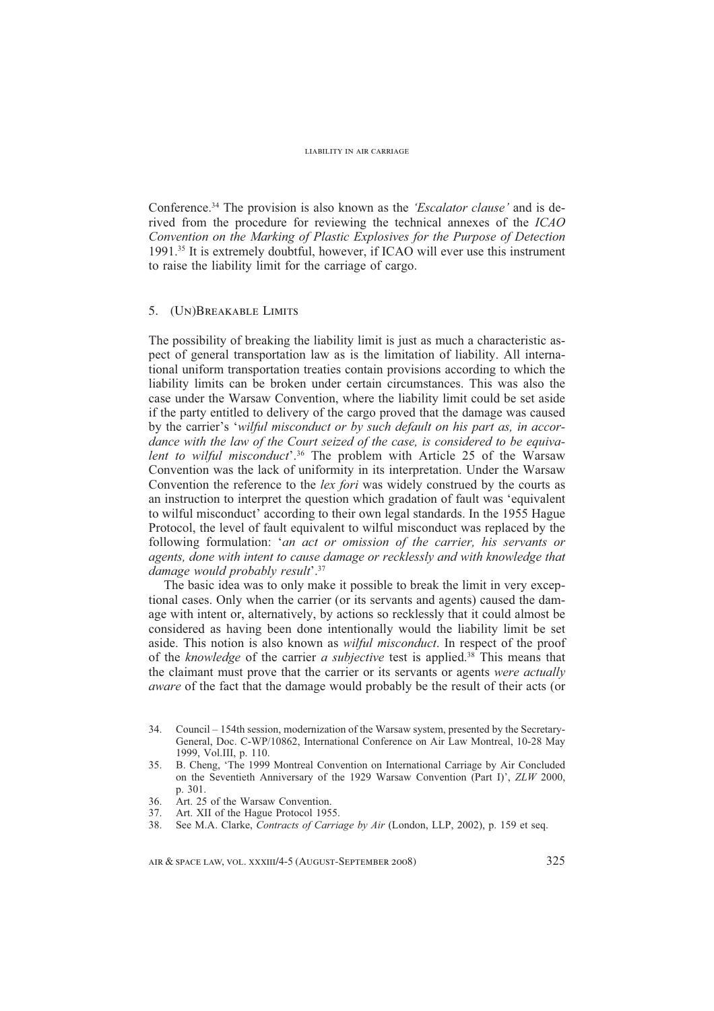Conference.34 The provision is also known as the *'Escalator clause'* and is derived from the procedure for reviewing the technical annexes of the *ICAO Convention on the Marking of Plastic Explosives for the Purpose of Detection* 1991.35 It is extremely doubtful, however, if ICAO will ever use this instrument to raise the liability limit for the carriage of cargo.

# 5. (Un)Breakable Limits

The possibility of breaking the liability limit is just as much a characteristic aspect of general transportation law as is the limitation of liability. All international uniform transportation treaties contain provisions according to which the liability limits can be broken under certain circumstances. This was also the case under the Warsaw Convention, where the liability limit could be set aside if the party entitled to delivery of the cargo proved that the damage was caused by the carrier's '*wilful misconduct or by such default on his part as, in accordance with the law of the Court seized of the case, is considered to be equivalent to wilful misconduct*'.36 The problem with Article 25 of the Warsaw Convention was the lack of uniformity in its interpretation. Under the Warsaw Convention the reference to the *lex fori* was widely construed by the courts as an instruction to interpret the question which gradation of fault was 'equivalent to wilful misconduct' according to their own legal standards. In the 1955 Hague Protocol, the level of fault equivalent to wilful misconduct was replaced by the following formulation: '*an act or omission of the carrier, his servants or agents, done with intent to cause damage or recklessly and with knowledge that damage would probably result*'.37

The basic idea was to only make it possible to break the limit in very exceptional cases. Only when the carrier (or its servants and agents) caused the damage with intent or, alternatively, by actions so recklessly that it could almost be considered as having been done intentionally would the liability limit be set aside. This notion is also known as *wilful misconduct*. In respect of the proof of the *knowledge* of the carrier *a subjective* test is applied.38 This means that the claimant must prove that the carrier or its servants or agents *were actually aware* of the fact that the damage would probably be the result of their acts (or

- 35. B. Cheng, 'The 1999 Montreal Convention on International Carriage by Air Concluded on the Seventieth Anniversary of the 1929 Warsaw Convention (Part I)', *ZLW* 2000, p. 301.
- 36. Art. 25 of the Warsaw Convention.
- 37. Art. XII of the Hague Protocol 1955.
- 38. See M.A. Clarke, *Contracts of Carriage by Air* (London, LLP, 2002), p. 159 et seq.

<sup>34.</sup> Council – 154th session, modernization of the Warsaw system, presented by the Secretary-General, Doc. C-WP/10862, International Conference on Air Law Montreal, 10-28 May 1999, Vol.III, p. 110.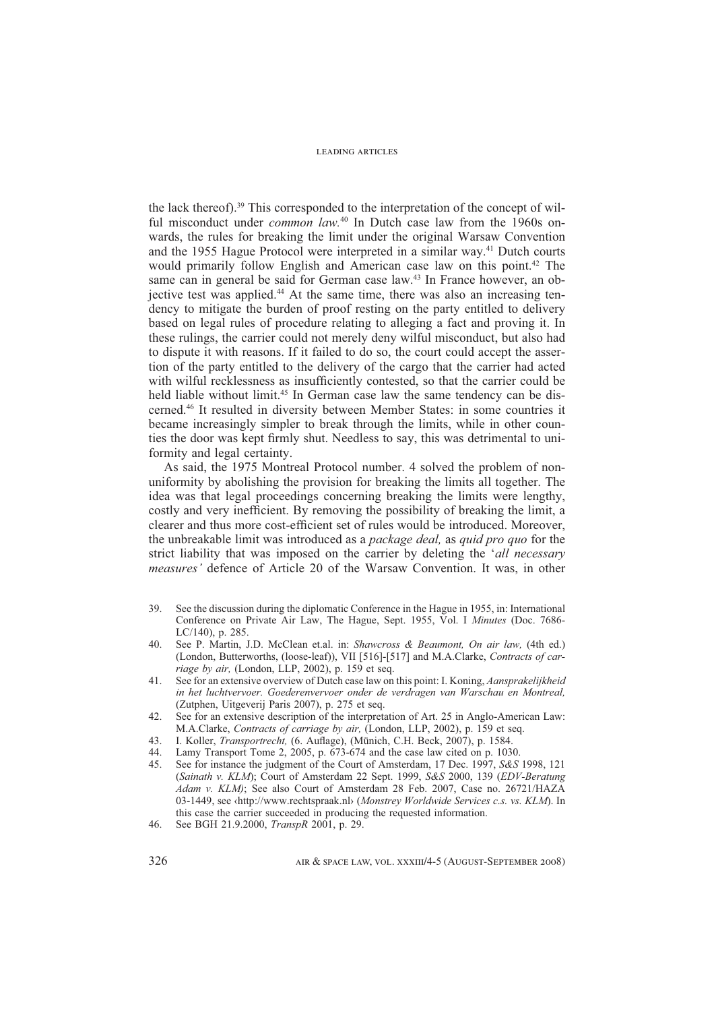the lack thereof).39 This corresponded to the interpretation of the concept of wilful misconduct under *common law.*40 In Dutch case law from the 1960s onwards, the rules for breaking the limit under the original Warsaw Convention and the 1955 Hague Protocol were interpreted in a similar way.41 Dutch courts would primarily follow English and American case law on this point.<sup>42</sup> The same can in general be said for German case law.<sup>43</sup> In France however, an objective test was applied.<sup>44</sup> At the same time, there was also an increasing tendency to mitigate the burden of proof resting on the party entitled to delivery based on legal rules of procedure relating to alleging a fact and proving it. In these rulings, the carrier could not merely deny wilful misconduct, but also had to dispute it with reasons. If it failed to do so, the court could accept the assertion of the party entitled to the delivery of the cargo that the carrier had acted with wilful recklessness as insufficiently contested, so that the carrier could be held liable without limit.<sup>45</sup> In German case law the same tendency can be discerned.46 It resulted in diversity between Member States: in some countries it became increasingly simpler to break through the limits, while in other counties the door was kept firmly shut. Needless to say, this was detrimental to uniformity and legal certainty.

As said, the 1975 Montreal Protocol number. 4 solved the problem of nonuniformity by abolishing the provision for breaking the limits all together. The idea was that legal proceedings concerning breaking the limits were lengthy, costly and very inefficient. By removing the possibility of breaking the limit, a clearer and thus more cost-efficient set of rules would be introduced. Moreover, the unbreakable limit was introduced as a *package deal,* as *quid pro quo* for the strict liability that was imposed on the carrier by deleting the '*all necessary measures'* defence of Article 20 of the Warsaw Convention. It was, in other

- 39. See the discussion during the diplomatic Conference in the Hague in 1955, in: International Conference on Private Air Law, The Hague, Sept. 1955, Vol. I *Minutes* (Doc. 7686- LC/140), p. 285.
- 40. See P. Martin, J.D. McClean et.al. in: *Shawcross & Beaumont, On air law,* (4th ed.) (London, Butterworths, (loose-leaf)), VII [516]-[517] and M.A.Clarke, *Contracts of carriage by air,* (London, LLP, 2002), p. 159 et seq.
- 41. See for an extensive overview of Dutch case law on this point: I. Koning, *Aansprakelijkheid in het luchtvervoer. Goederenvervoer onder de verdragen van Warschau en Montreal,*  (Zutphen, Uitgeverij Paris 2007), p. 275 et seq.
- 42. See for an extensive description of the interpretation of Art. 25 in Anglo-American Law: M.A.Clarke, *Contracts of carriage by air,* (London, LLP, 2002), p. 159 et seq.
- 43. I. Koller, *Transportrecht*, (6. Auflage), (Münich, C.H. Beck, 2007), p. 1584.
- 44. Lamy Transport Tome 2, 2005, p. 673-674 and the case law cited on p. 1030.
- 45. See for instance the judgment of the Court of Amsterdam, 17 Dec. 1997, *S&S* 1998, 121 (*Sainath v. KLM*); Court of Amsterdam 22 Sept. 1999, *S&S* 2000, 139 (*EDV-Beratung Adam v. KLM)*; See also Court of Amsterdam 28 Feb. 2007, Case no. 26721/HAZA 03-1449, see ‹http://www.rechtspraak.nl› (*Monstrey Worldwide Services c.s. vs. KLM*). In this case the carrier succeeded in producing the requested information.
- 46. See BGH 21.9.2000, *TranspR* 2001, p. 29.

326 AIR & SPACE LAW, VOL. XXXIII/4-5 (AUGUST-SEPTEMBER 2008)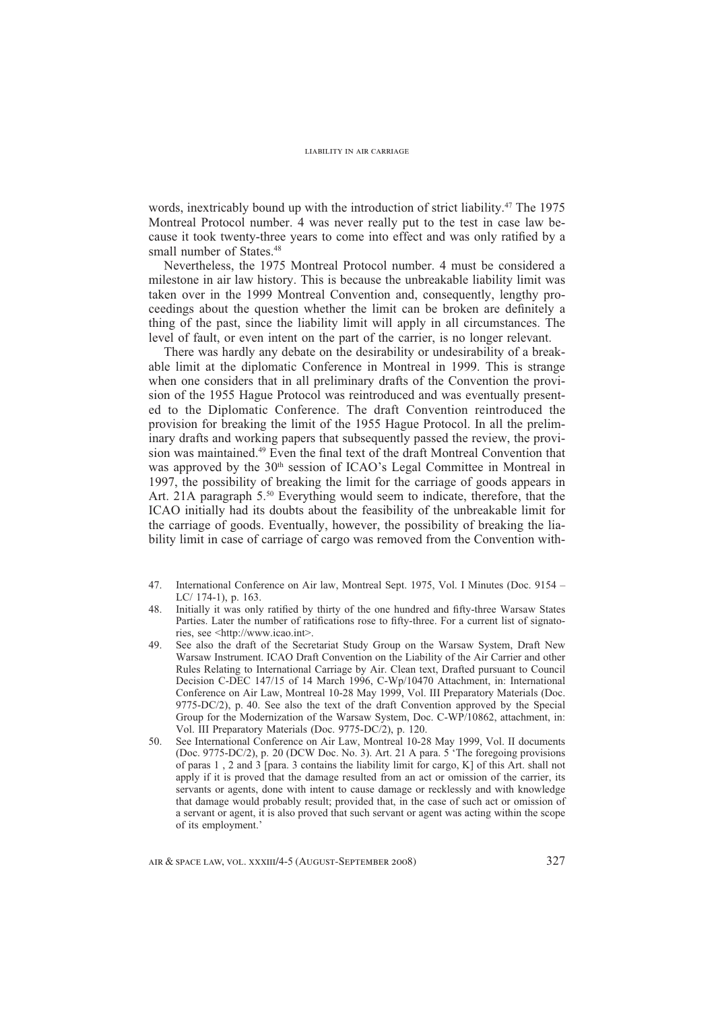words, inextricably bound up with the introduction of strict liability.<sup>47</sup> The 1975 Montreal Protocol number. 4 was never really put to the test in case law because it took twenty-three years to come into effect and was only ratified by a small number of States.<sup>48</sup>

Nevertheless, the 1975 Montreal Protocol number. 4 must be considered a milestone in air law history. This is because the unbreakable liability limit was taken over in the 1999 Montreal Convention and, consequently, lengthy proceedings about the question whether the limit can be broken are definitely a thing of the past, since the liability limit will apply in all circumstances. The level of fault, or even intent on the part of the carrier, is no longer relevant.

There was hardly any debate on the desirability or undesirability of a breakable limit at the diplomatic Conference in Montreal in 1999. This is strange when one considers that in all preliminary drafts of the Convention the provision of the 1955 Hague Protocol was reintroduced and was eventually presented to the Diplomatic Conference. The draft Convention reintroduced the provision for breaking the limit of the 1955 Hague Protocol. In all the preliminary drafts and working papers that subsequently passed the review, the provision was maintained.<sup>49</sup> Even the final text of the draft Montreal Convention that was approved by the 30<sup>th</sup> session of ICAO's Legal Committee in Montreal in 1997, the possibility of breaking the limit for the carriage of goods appears in Art. 21A paragraph 5.<sup>50</sup> Everything would seem to indicate, therefore, that the ICAO initially had its doubts about the feasibility of the unbreakable limit for the carriage of goods. Eventually, however, the possibility of breaking the liability limit in case of carriage of cargo was removed from the Convention with-

- 47. International Conference on Air law, Montreal Sept. 1975, Vol. I Minutes (Doc. 9154 LC/ 174-1), p. 163.
- 48. Initially it was only ratified by thirty of the one hundred and fifty-three Warsaw States Parties. Later the number of ratifications rose to fifty-three. For a current list of signatories, see <http://www.icao.int>.
- 49. See also the draft of the Secretariat Study Group on the Warsaw System, Draft New Warsaw Instrument. ICAO Draft Convention on the Liability of the Air Carrier and other Rules Relating to International Carriage by Air. Clean text, Drafted pursuant to Council Decision C-DEC 147/15 of 14 March 1996, C-Wp/10470 Attachment, in: International Conference on Air Law, Montreal 10-28 May 1999, Vol. III Preparatory Materials (Doc. 9775-DC/2), p. 40. See also the text of the draft Convention approved by the Special Group for the Modernization of the Warsaw System, Doc. C-WP/10862, attachment, in: Vol. III Preparatory Materials (Doc. 9775-DC/2), p. 120.
- 50. See International Conference on Air Law, Montreal 10-28 May 1999, Vol. II documents (Doc. 9775-DC/2), p. 20 (DCW Doc. No. 3). Art. 21 A para. 5 'The foregoing provisions of paras 1 , 2 and 3 [para. 3 contains the liability limit for cargo, K] of this Art. shall not apply if it is proved that the damage resulted from an act or omission of the carrier, its servants or agents, done with intent to cause damage or recklessly and with knowledge that damage would probably result; provided that, in the case of such act or omission of a servant or agent, it is also proved that such servant or agent was acting within the scope of its employment.'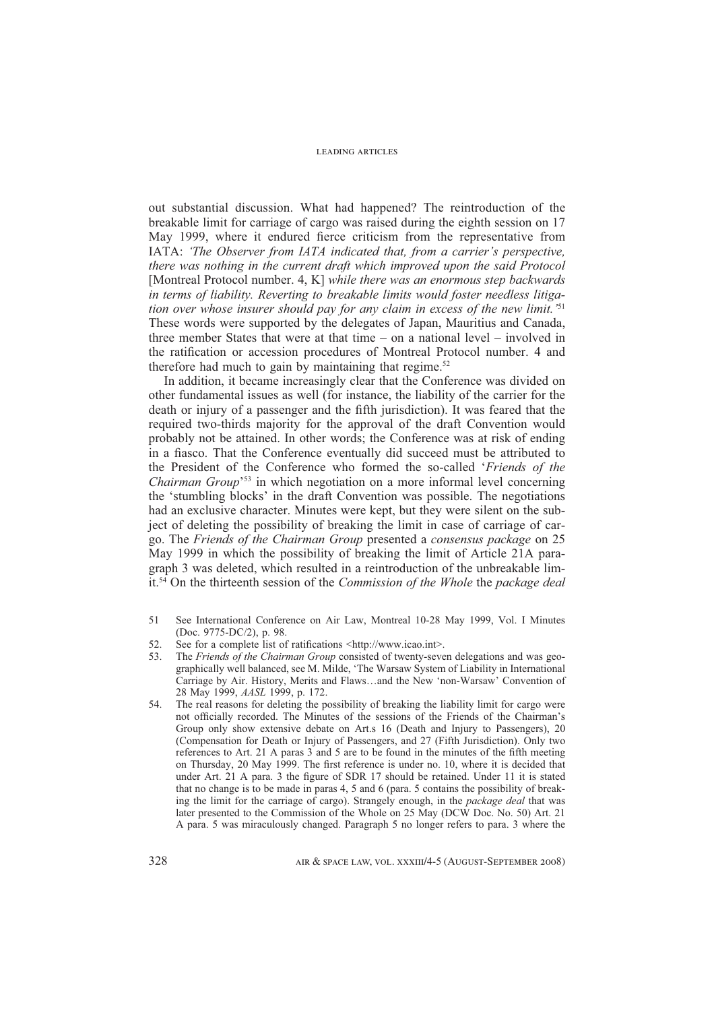out substantial discussion. What had happened? The reintroduction of the breakable limit for carriage of cargo was raised during the eighth session on 17 May 1999, where it endured fierce criticism from the representative from IATA: *'The Observer from IATA indicated that, from a carrier's perspective, there was nothing in the current draft which improved upon the said Protocol*  [Montreal Protocol number. 4, K] *while there was an enormous step backwards in terms of liability. Reverting to breakable limits would foster needless litigation over whose insurer should pay for any claim in excess of the new limit.'*<sup>51</sup> These words were supported by the delegates of Japan, Mauritius and Canada, three member States that were at that time – on a national level – involved in the ratification or accession procedures of Montreal Protocol number. 4 and therefore had much to gain by maintaining that regime. $52$ 

In addition, it became increasingly clear that the Conference was divided on other fundamental issues as well (for instance, the liability of the carrier for the death or injury of a passenger and the fifth jurisdiction). It was feared that the required two-thirds majority for the approval of the draft Convention would probably not be attained. In other words; the Conference was at risk of ending in a fiasco. That the Conference eventually did succeed must be attributed to the President of the Conference who formed the so-called '*Friends of the Chairman Group*'53 in which negotiation on a more informal level concerning the 'stumbling blocks' in the draft Convention was possible. The negotiations had an exclusive character. Minutes were kept, but they were silent on the subject of deleting the possibility of breaking the limit in case of carriage of cargo. The *Friends of the Chairman Group* presented a *consensus package* on 25 May 1999 in which the possibility of breaking the limit of Article 21A paragraph 3 was deleted, which resulted in a reintroduction of the unbreakable limit.54 On the thirteenth session of the *Commission of the Whole* the *package deal* 

- 51 See International Conference on Air Law, Montreal 10-28 May 1999, Vol. I Minutes (Doc. 9775-DC/2), p. 98.
- 52. See for a complete list of ratifications <http://www.icao.int>.
- 53. The *Friends of the Chairman Group* consisted of twenty-seven delegations and was geographically well balanced, see M. Milde, 'The Warsaw System of Liability in International Carriage by Air. History, Merits and Flaws…and the New 'non-Warsaw' Convention of 28 May 1999, *AASL* 1999, p. 172.
- 54. The real reasons for deleting the possibility of breaking the liability limit for cargo were not officially recorded. The Minutes of the sessions of the Friends of the Chairman's Group only show extensive debate on Art.s 16 (Death and Injury to Passengers), 20 (Compensation for Death or Injury of Passengers, and 27 (Fifth Jurisdiction). Only two references to Art. 21 A paras 3 and 5 are to be found in the minutes of the fifth meeting on Thursday, 20 May 1999. The first reference is under no. 10, where it is decided that under Art. 21 A para. 3 the figure of SDR  $17$  should be retained. Under 11 it is stated that no change is to be made in paras 4, 5 and 6 (para. 5 contains the possibility of breaking the limit for the carriage of cargo). Strangely enough, in the *package deal* that was later presented to the Commission of the Whole on 25 May (DCW Doc. No. 50) Art. 21 A para. 5 was miraculously changed. Paragraph 5 no longer refers to para. 3 where the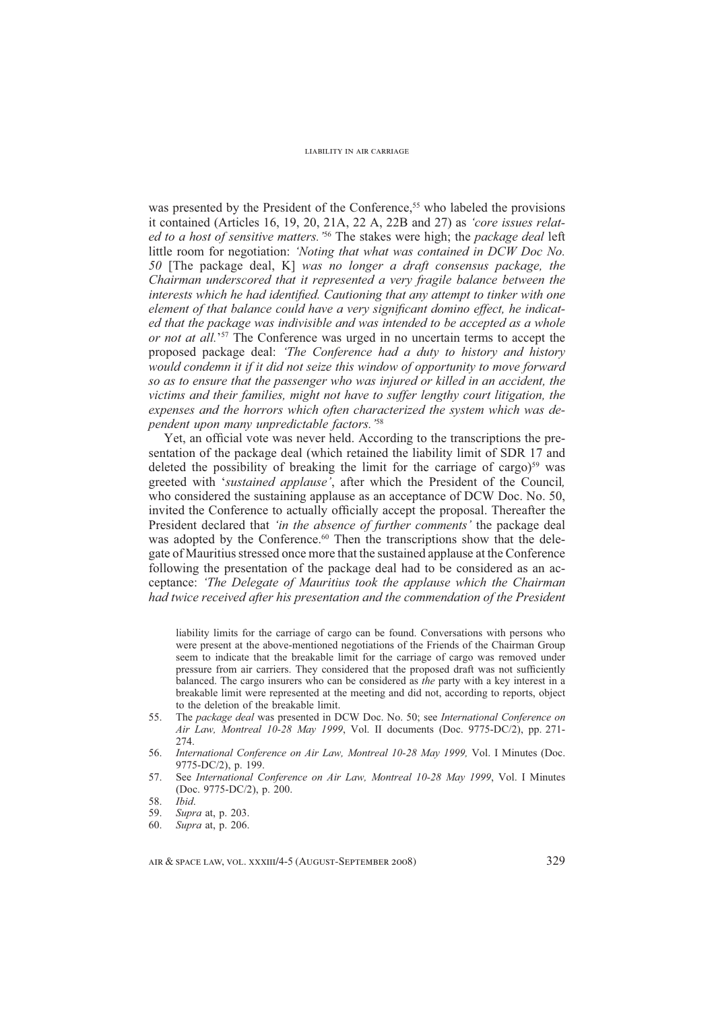was presented by the President of the Conference,<sup>55</sup> who labeled the provisions it contained (Articles 16, 19, 20, 21A, 22 A, 22B and 27) as *'core issues related to a host of sensitive matters.'*56 The stakes were high; the *package deal* left little room for negotiation: *'Noting that what was contained in DCW Doc No. 50* [The package deal, K] *was no longer a draft consensus package, the Chairman underscored that it represented a very fragile balance between the interests which he had identified. Cautioning that any attempt to tinker with one element of that balance could have a very significant domino effect, he indicated that the package was indivisible and was intended to be accepted as a whole or not at all.*<sup>57</sup> The Conference was urged in no uncertain terms to accept the proposed package deal: *'The Conference had a duty to history and history would condemn it if it did not seize this window of opportunity to move forward so as to ensure that the passenger who was injured or killed in an accident, the victims and their families, might not have to suffer lengthy court litigation, the expenses and the horrors which often characterized the system which was dependent upon many unpredictable factors.'*<sup>58</sup>

Yet, an official vote was never held. According to the transcriptions the presentation of the package deal (which retained the liability limit of SDR 17 and deleted the possibility of breaking the limit for the carriage of cargo)<sup>59</sup> was greeted with '*sustained applause'*, after which the President of the Council*,*  who considered the sustaining applause as an acceptance of DCW Doc. No. 50, invited the Conference to actually officially accept the proposal. Thereafter the President declared that *'in the absence of further comments'* the package deal was adopted by the Conference.<sup>60</sup> Then the transcriptions show that the delegate of Mauritius stressed once more that the sustained applause at the Conference following the presentation of the package deal had to be considered as an acceptance: *'The Delegate of Mauritius took the applause which the Chairman had twice received after his presentation and the commendation of the President* 

liability limits for the carriage of cargo can be found. Conversations with persons who were present at the above-mentioned negotiations of the Friends of the Chairman Group seem to indicate that the breakable limit for the carriage of cargo was removed under pressure from air carriers. They considered that the proposed draft was not sufficiently balanced. The cargo insurers who can be considered as *the* party with a key interest in a breakable limit were represented at the meeting and did not, according to reports, object to the deletion of the breakable limit.

- 55. The *package deal* was presented in DCW Doc. No. 50; see *International Conference on Air Law, Montreal 10-28 May 1999*, Vol. II documents (Doc. 9775-DC/2), pp. 271- 274.
- 56. *International Conference on Air Law, Montreal 10-28 May 1999,* Vol. I Minutes (Doc. 9775-DC/2), p. 199.
- 57. See *International Conference on Air Law, Montreal 10-28 May 1999*, Vol. I Minutes (Doc. 9775-DC/2), p. 200.

- 59. *Supra* at, p. 203.
- 60. *Supra* at, p. 206.

<sup>58.</sup> *Ibid*.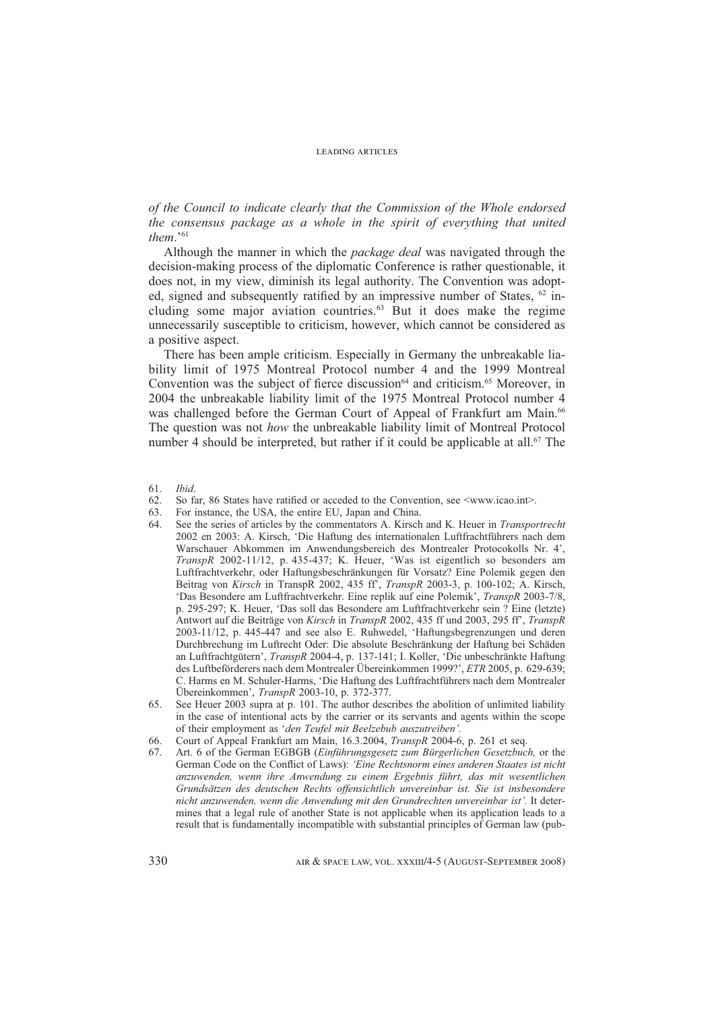*of the Council to indicate clearly that the Commission of the Whole endorsed the consensus package as a whole in the spirit of everything that united them*.'61

Although the manner in which the *package deal* was navigated through the decision-making process of the diplomatic Conference is rather questionable, it does not, in my view, diminish its legal authority. The Convention was adopted, signed and subsequently ratified by an impressive number of States,  $62$  including some major aviation countries.63 But it does make the regime unnecessarily susceptible to criticism, however, which cannot be considered as a positive aspect.

There has been ample criticism. Especially in Germany the unbreakable liability limit of 1975 Montreal Protocol number 4 and the 1999 Montreal Convention was the subject of fierce discussion<sup>64</sup> and criticism.<sup>65</sup> Moreover, in 2004 the unbreakable liability limit of the 1975 Montreal Protocol number 4 was challenged before the German Court of Appeal of Frankfurt am Main.<sup>66</sup> The question was not *how* the unbreakable liability limit of Montreal Protocol number 4 should be interpreted, but rather if it could be applicable at all.<sup>67</sup> The

- 61. *Ibid*.
- 62. So far, 86 States have ratified or acceded to the Convention, see  $\langle$ www.icao.int $\rangle$ .
- 63. For instance, the USA, the entire EU, Japan and China.
- 64. See the series of articles by the commentators A. Kirsch and K. Heuer in *Transportrecht* 2002 en 2003: A. Kirsch, 'Die Haftung des internationalen Luftfrachtführers nach dem Warschauer Abkommen im Anwendungsbereich des Montrealer Protocokolls Nr. 4', *TranspR* 2002-11/12, p. 435-437; K. Heuer, 'Was ist eigentlich so besonders am Luftfrachtverkehr, oder Haftungsbeschränkungen für Vorsatz? Eine Polemik gegen den Beitrag von *Kirsch* in TranspR 2002, 435 ff', *TranspR* 2003-3, p. 100-102; A. Kirsch, 'Das Besondere am Luftfrachtverkehr. Eine replik auf eine Polemik', *TranspR* 2003-7/8, p. 295-297; K. Heuer, 'Das soll das Besondere am Luftfrachtverkehr sein ? Eine (letzte) Antwort auf die Beiträge von *Kirsch* in *TranspR* 2002, 435 ff und 2003, 295 ff', *TranspR*  2003-11/12, p. 445-447 and see also E. Ruhwedel, 'Haftungsbegrenzungen und deren Durchbrechung im Luftrecht Oder: Die absolute Beschränkung der Haftung bei Schäden an Luftfrachtgütern', *TranspR* 2004-4, p. 137-141; I. Koller, 'Die unbeschränkte Haftung des Luftbeförderers nach dem Montrealer Übereinkommen 1999?', *ETR* 2005, p. 629-639; C. Harms en M. Schuler-Harms, 'Die Haftung des Luftfrachtführers nach dem Montrealer Übereinkommen', *TranspR* 2003-10, p. 372-377.
- 65. See Heuer 2003 supra at p. 101. The author describes the abolition of unlimited liability in the case of intentional acts by the carrier or its servants and agents within the scope of their employment as '*den Teufel mit Beelzebub auszutreiben'.*
- 66. Court of Appeal Frankfurt am Main, 16.3.2004, *TranspR* 2004-6, p. 261 et seq.
- 67. Art. 6 of the German EGBGB (*Einführungsgesetz zum Bürgerlichen Gesetzbuch,* or the German Code on the Conflict of Laws): 'Eine Rechtsnorm eines anderen Staates ist nicht *anzuwenden, wenn ihre Anwendung zu einem Ergebnis führt, das mit wesentlichen Grundsätzen des deutschen Rechts offensichtlich unvereinbar ist. Sie ist insbesondere nicht anzuwenden, wenn die Anwendung mit den Grundrechten unvereinbar ist'.* It determines that a legal rule of another State is not applicable when its application leads to a result that is fundamentally incompatible with substantial principles of German law (pub-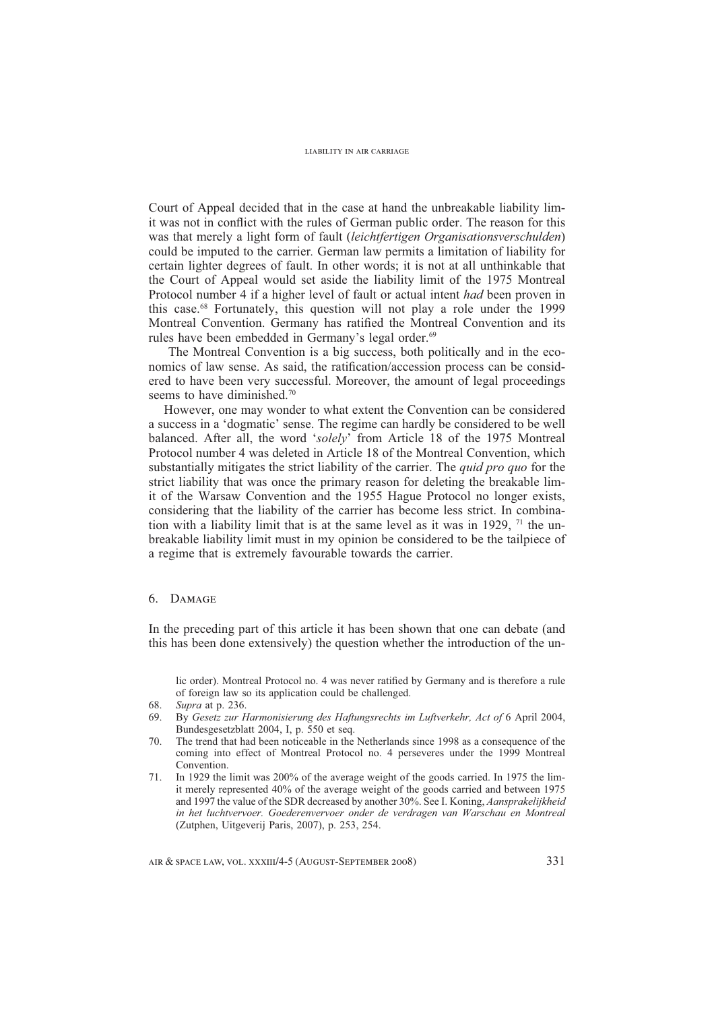Court of Appeal decided that in the case at hand the unbreakable liability limit was not in conflict with the rules of German public order. The reason for this was that merely a light form of fault (*leichtfertigen Organisationsverschulden*) could be imputed to the carrier*.* German law permits a limitation of liability for certain lighter degrees of fault. In other words; it is not at all unthinkable that the Court of Appeal would set aside the liability limit of the 1975 Montreal Protocol number 4 if a higher level of fault or actual intent *had* been proven in this case.68 Fortunately, this question will not play a role under the 1999 Montreal Convention. Germany has ratified the Montreal Convention and its rules have been embedded in Germany's legal order.<sup>69</sup>

 The Montreal Convention is a big success, both politically and in the economics of law sense. As said, the ratification/accession process can be considered to have been very successful. Moreover, the amount of legal proceedings seems to have diminished.<sup>70</sup>

However, one may wonder to what extent the Convention can be considered a success in a 'dogmatic' sense. The regime can hardly be considered to be well balanced. After all, the word '*solely*' from Article 18 of the 1975 Montreal Protocol number 4 was deleted in Article 18 of the Montreal Convention, which substantially mitigates the strict liability of the carrier. The *quid pro quo* for the strict liability that was once the primary reason for deleting the breakable limit of the Warsaw Convention and the 1955 Hague Protocol no longer exists, considering that the liability of the carrier has become less strict. In combination with a liability limit that is at the same level as it was in 1929,  $71$  the unbreakable liability limit must in my opinion be considered to be the tailpiece of a regime that is extremely favourable towards the carrier.

## 6. Damage

In the preceding part of this article it has been shown that one can debate (and this has been done extensively) the question whether the introduction of the un-

lic order). Montreal Protocol no. 4 was never ratified by Germany and is therefore a rule of foreign law so its application could be challenged.

- 69. By *Gesetz zur Harmonisierung des Haftungsrechts im Luftverkehr, Act of* 6 April 2004, Bundesgesetzblatt 2004, I, p. 550 et seq.
- 70. The trend that had been noticeable in the Netherlands since 1998 as a consequence of the coming into effect of Montreal Protocol no. 4 perseveres under the 1999 Montreal Convention.
- 71. In 1929 the limit was 200% of the average weight of the goods carried. In 1975 the limit merely represented 40% of the average weight of the goods carried and between 1975 and 1997 the value of the SDR decreased by another 30%. See I. Koning, *Aansprakelijkheid in het luchtvervoer. Goederenvervoer onder de verdragen van Warschau en Montreal*  (Zutphen, Uitgeverij Paris, 2007), p. 253, 254.

<sup>68.</sup> *Supra* at p. 236.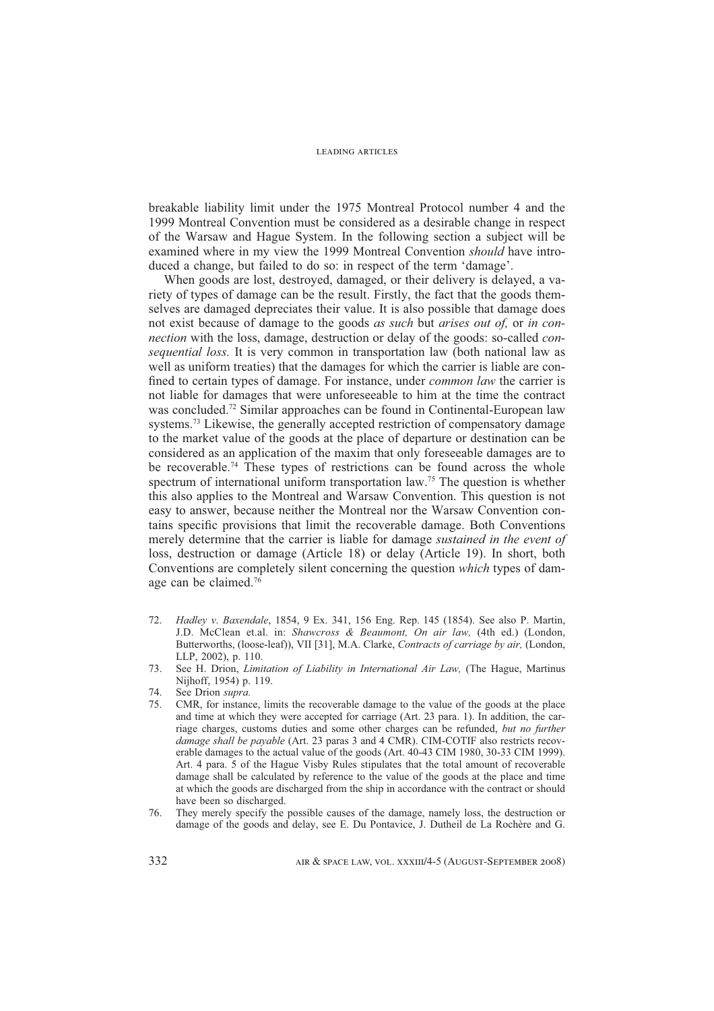breakable liability limit under the 1975 Montreal Protocol number 4 and the 1999 Montreal Convention must be considered as a desirable change in respect of the Warsaw and Hague System. In the following section a subject will be examined where in my view the 1999 Montreal Convention *should* have introduced a change, but failed to do so: in respect of the term 'damage'.

When goods are lost, destroyed, damaged, or their delivery is delayed, a variety of types of damage can be the result. Firstly, the fact that the goods themselves are damaged depreciates their value. It is also possible that damage does not exist because of damage to the goods *as such* but *arises out of,* or *in connection* with the loss, damage, destruction or delay of the goods: so-called *consequential loss.* It is very common in transportation law (both national law as well as uniform treaties) that the damages for which the carrier is liable are confined to certain types of damage. For instance, under *common law* the carrier is not liable for damages that were unforeseeable to him at the time the contract was concluded.72 Similar approaches can be found in Continental-European law systems.<sup>73</sup> Likewise, the generally accepted restriction of compensatory damage to the market value of the goods at the place of departure or destination can be considered as an application of the maxim that only foreseeable damages are to be recoverable.<sup>74</sup> These types of restrictions can be found across the whole spectrum of international uniform transportation law.<sup>75</sup> The question is whether this also applies to the Montreal and Warsaw Convention. This question is not easy to answer, because neither the Montreal nor the Warsaw Convention contains specific provisions that limit the recoverable damage. Both Conventions merely determine that the carrier is liable for damage *sustained in the event of*  loss, destruction or damage (Article 18) or delay (Article 19). In short, both Conventions are completely silent concerning the question *which* types of damage can be claimed.76

- 72. *Hadley v*. *Baxendale*, 1854, 9 Ex. 341, 156 Eng. Rep. 145 (1854). See also P. Martin, J.D. McClean et.al. in: *Shawcross & Beaumont, On air law,* (4th ed.) (London, Butterworths, (loose-leaf)), VII [31], M.A. Clarke, *Contracts of carriage by air,* (London, LLP, 2002), p. 110.
- 73. See H. Drion, *Limitation of Liability in International Air Law,* (The Hague, Martinus Nijhoff, 1954) p. 119.

- 75. CMR, for instance, limits the recoverable damage to the value of the goods at the place and time at which they were accepted for carriage (Art. 23 para. 1). In addition, the carriage charges, customs duties and some other charges can be refunded, *but no further damage shall be payable* (Art. 23 paras 3 and 4 CMR). CIM-COTIF also restricts recoverable damages to the actual value of the goods (Art. 40-43 CIM 1980, 30-33 CIM 1999). Art. 4 para. 5 of the Hague Visby Rules stipulates that the total amount of recoverable damage shall be calculated by reference to the value of the goods at the place and time at which the goods are discharged from the ship in accordance with the contract or should have been so discharged.
- 76. They merely specify the possible causes of the damage, namely loss, the destruction or damage of the goods and delay, see E. Du Pontavice, J. Dutheil de La Rochère and G.

<sup>74.</sup> See Drion *supra.*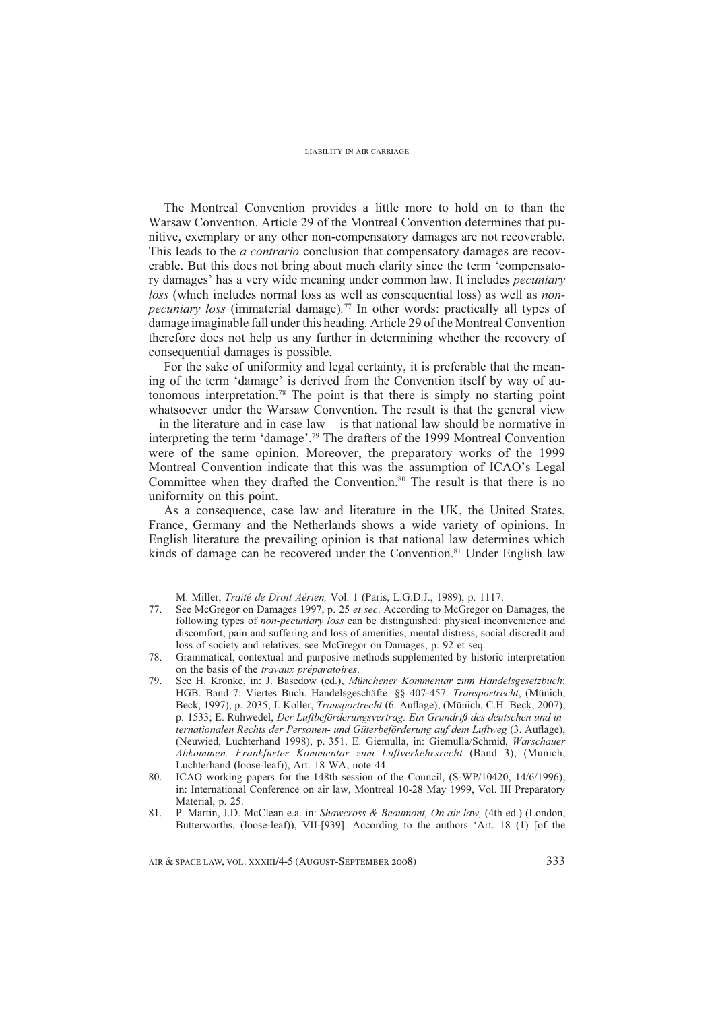The Montreal Convention provides a little more to hold on to than the Warsaw Convention. Article 29 of the Montreal Convention determines that punitive, exemplary or any other non-compensatory damages are not recoverable. This leads to the *a contrario* conclusion that compensatory damages are recoverable. But this does not bring about much clarity since the term 'compensatory damages' has a very wide meaning under common law. It includes *pecuniary loss* (which includes normal loss as well as consequential loss) as well as *nonpecuniary loss* (immaterial damage)*.* 77 In other words: practically all types of damage imaginable fall under this heading*.* Article 29 of the Montreal Convention therefore does not help us any further in determining whether the recovery of consequential damages is possible.

For the sake of uniformity and legal certainty, it is preferable that the meaning of the term 'damage' is derived from the Convention itself by way of autonomous interpretation.78 The point is that there is simply no starting point whatsoever under the Warsaw Convention. The result is that the general view  $-$  in the literature and in case law  $-$  is that national law should be normative in interpreting the term 'damage'.79 The drafters of the 1999 Montreal Convention were of the same opinion. Moreover, the preparatory works of the 1999 Montreal Convention indicate that this was the assumption of ICAO's Legal Committee when they drafted the Convention.<sup>80</sup> The result is that there is no uniformity on this point.

As a consequence, case law and literature in the UK, the United States, France, Germany and the Netherlands shows a wide variety of opinions. In English literature the prevailing opinion is that national law determines which kinds of damage can be recovered under the Convention.<sup>81</sup> Under English law

M. Miller, *Traité de Droit Aérien,* Vol. 1 (Paris, L.G.D.J., 1989), p. 1117.

- 77. See McGregor on Damages 1997, p. 25 *et sec*. According to McGregor on Damages, the following types of *non-pecuniary loss* can be distinguished: physical inconvenience and discomfort, pain and suffering and loss of amenities, mental distress, social discredit and loss of society and relatives, see McGregor on Damages, p. 92 et seq.
- 78. Grammatical, contextual and purposive methods supplemented by historic interpretation on the basis of the *travaux préparatoires*.
- 79. See H. Kronke, in: J. Basedow (ed.), *Münchener Kommentar zum Handelsgesetzbuch*: HGB. Band 7: Viertes Buch. Handelsgeschäfte. §§ 407-457. *Transportrecht*, (Münich, Beck, 1997), p. 2035; I. Koller, *Transportrecht* (6. Auflage), (Münich, C.H. Beck, 2007), p. 1533; E. Ruhwedel, *Der Luftbeförderungsvertrag. Ein Grundriß des deutschen und in*ternationalen Rechts der Personen- und Güterbeförderung auf dem Luftweg (3. Auflage), (Neuwied, Luchterhand 1998), p. 351. E. Giemulla, in: Giemulla/Schmid, *Warschauer Abkommen. Frankfurter Kommentar zum Luftverkehrsrecht* (Band 3), (Munich, Luchterhand (loose-leaf)), Art. 18 WA, note 44.
- 80. ICAO working papers for the 148th session of the Council, (S-WP/10420, 14/6/1996), in: International Conference on air law, Montreal 10-28 May 1999, Vol. III Preparatory Material, p. 25.
- 81. P. Martin, J.D. McClean e.a. in: *Shawcross & Beaumont, On air law,* (4th ed.) (London, Butterworths, (loose-leaf)), VII-[939]. According to the authors 'Art. 18 (1) [of the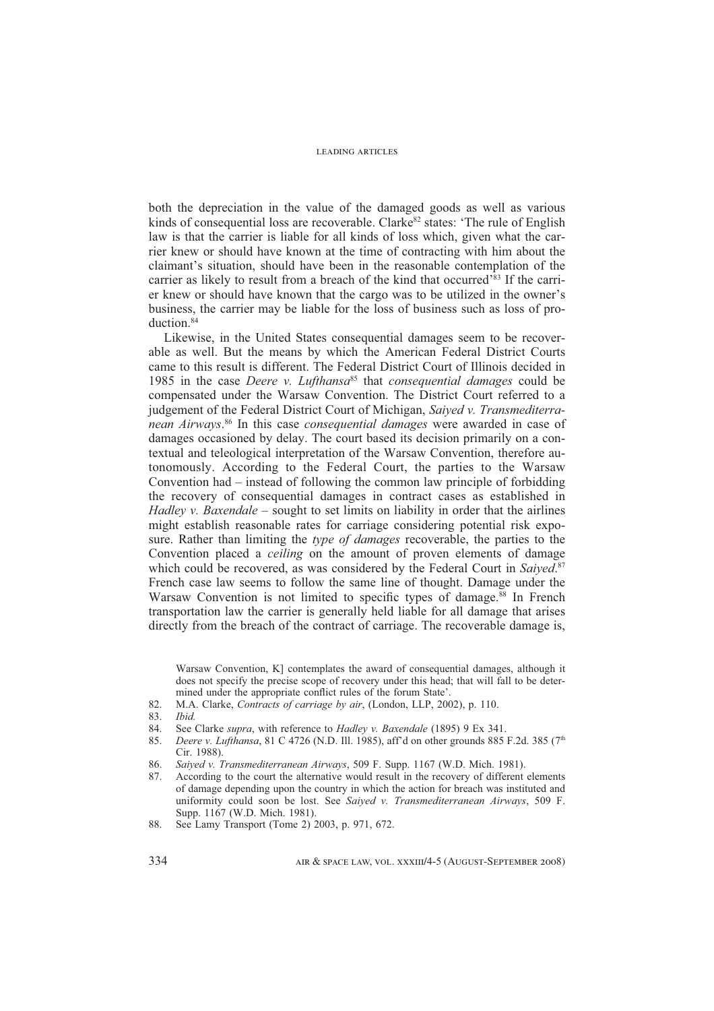both the depreciation in the value of the damaged goods as well as various kinds of consequential loss are recoverable. Clarke<sup>82</sup> states: 'The rule of English law is that the carrier is liable for all kinds of loss which, given what the carrier knew or should have known at the time of contracting with him about the claimant's situation, should have been in the reasonable contemplation of the carrier as likely to result from a breach of the kind that occurred'83 If the carrier knew or should have known that the cargo was to be utilized in the owner's business, the carrier may be liable for the loss of business such as loss of production.<sup>84</sup>

Likewise, in the United States consequential damages seem to be recoverable as well. But the means by which the American Federal District Courts came to this result is different. The Federal District Court of Illinois decided in 1985 in the case *Deere v. Lufthansa*85 that *consequential damages* could be compensated under the Warsaw Convention. The District Court referred to a judgement of the Federal District Court of Michigan, *Saiyed v. Transmediterranean Airways*. 86 In this case *consequential damages* were awarded in case of damages occasioned by delay. The court based its decision primarily on a contextual and teleological interpretation of the Warsaw Convention, therefore autonomously. According to the Federal Court, the parties to the Warsaw Convention had – instead of following the common law principle of forbidding the recovery of consequential damages in contract cases as established in *Hadley v. Baxendale* – sought to set limits on liability in order that the airlines might establish reasonable rates for carriage considering potential risk exposure. Rather than limiting the *type of damages* recoverable, the parties to the Convention placed a *ceiling* on the amount of proven elements of damage which could be recovered, as was considered by the Federal Court in *Saiyed*. 87 French case law seems to follow the same line of thought. Damage under the Warsaw Convention is not limited to specific types of damage.<sup>88</sup> In French transportation law the carrier is generally held liable for all damage that arises directly from the breach of the contract of carriage. The recoverable damage is,

Warsaw Convention, K] contemplates the award of consequential damages, although it does not specify the precise scope of recovery under this head; that will fall to be determined under the appropriate conflict rules of the forum State'.

- 82. M.A. Clarke, *Contracts of carriage by air*, (London, LLP, 2002), p. 110.
- 83. *Ibid.*
- 
- 84. See Clarke *supra*, with reference to *Hadley v. Baxendale* (1895) 9 Ex 341. 85. Deere v. Lufthansa, 81 C 4726 (N.D. Ill. 1985), aff'd on other grounds 885 85. *Deere v. Lufthansa*, 81 C 4726 (N.D. Ill. 1985), aff'd on other grounds 885 F.2d. 385 (7th Cir. 1988).
- 86. *Saiyed v. Transmediterranean Airways*, 509 F. Supp. 1167 (W.D. Mich. 1981).
- 87. According to the court the alternative would result in the recovery of different elements of damage depending upon the country in which the action for breach was instituted and uniformity could soon be lost. See *Saiyed v. Transmediterranean Airways*, 509 F. Supp. 1167 (W.D. Mich. 1981).
- 88. See Lamy Transport (Tome 2) 2003, p. 971, 672.

334 AIR & SPACE LAW, VOL. XXXIII/4-5 (AUGUST-SEPTEMBER 2008)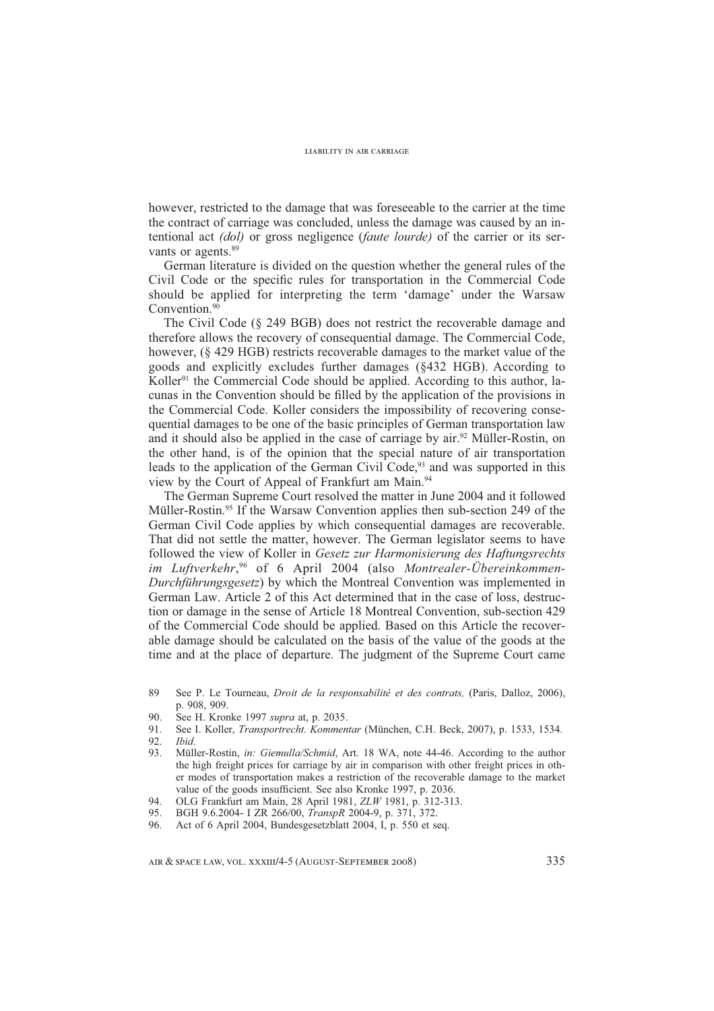however, restricted to the damage that was foreseeable to the carrier at the time the contract of carriage was concluded, unless the damage was caused by an intentional act *(dol)* or gross negligence (*faute lourde)* of the carrier or its servants or agents.<sup>89</sup>

German literature is divided on the question whether the general rules of the Civil Code or the specific rules for transportation in the Commercial Code should be applied for interpreting the term 'damage' under the Warsaw Convention.<sup>90</sup>

The Civil Code (§ 249 BGB) does not restrict the recoverable damage and therefore allows the recovery of consequential damage. The Commercial Code, however, (§ 429 HGB) restricts recoverable damages to the market value of the goods and explicitly excludes further damages (§432 HGB). According to Koller<sup>91</sup> the Commercial Code should be applied. According to this author, lacunas in the Convention should be filled by the application of the provisions in the Commercial Code. Koller considers the impossibility of recovering consequential damages to be one of the basic principles of German transportation law and it should also be applied in the case of carriage by air.<sup>92</sup> Müller-Rostin, on the other hand, is of the opinion that the special nature of air transportation leads to the application of the German Civil Code,<sup>93</sup> and was supported in this view by the Court of Appeal of Frankfurt am Main.<sup>94</sup>

The German Supreme Court resolved the matter in June 2004 and it followed Müller-Rostin.95 If the Warsaw Convention applies then sub-section 249 of the German Civil Code applies by which consequential damages are recoverable. That did not settle the matter, however. The German legislator seems to have followed the view of Koller in *Gesetz zur Harmonisierung des Haftungsrechts im Luftverkehr*, <sup>96</sup> of 6 April 2004 (also *Montrealer-Übereinkommen-Durchführungsgesetz*) by which the Montreal Convention was implemented in German Law. Article 2 of this Act determined that in the case of loss, destruction or damage in the sense of Article 18 Montreal Convention, sub-section 429 of the Commercial Code should be applied. Based on this Article the recoverable damage should be calculated on the basis of the value of the goods at the time and at the place of departure. The judgment of the Supreme Court came

- 89 See P. Le Tourneau, *Droit de la responsabilité et des contrats,* (Paris, Dalloz, 2006), p. 908, 909.
- 90. See H. Kronke 1997 *supra* at, p. 2035.
- 91. See I. Koller, *Transportrecht. Kommentar* (München, C.H. Beck, 2007), p. 1533, 1534.
- 92. *Ibid*.
- 93. Müller-Rostin, *in: Giemulla/Schmid*, Art. 18 WA, note 44-46. According to the author the high freight prices for carriage by air in comparison with other freight prices in other modes of transportation makes a restriction of the recoverable damage to the market value of the goods insufficient. See also Kronke 1997, p. 2036.
- 94. OLG Frankfurt am Main, 28 April 1981, *ZLW* 1981, p. 312-313.
- 95. BGH 9.6.2004- I ZR 266/00, *TranspR* 2004-9, p. 371, 372.
- 96. Act of 6 April 2004, Bundesgesetzblatt 2004, I, p. 550 et seq.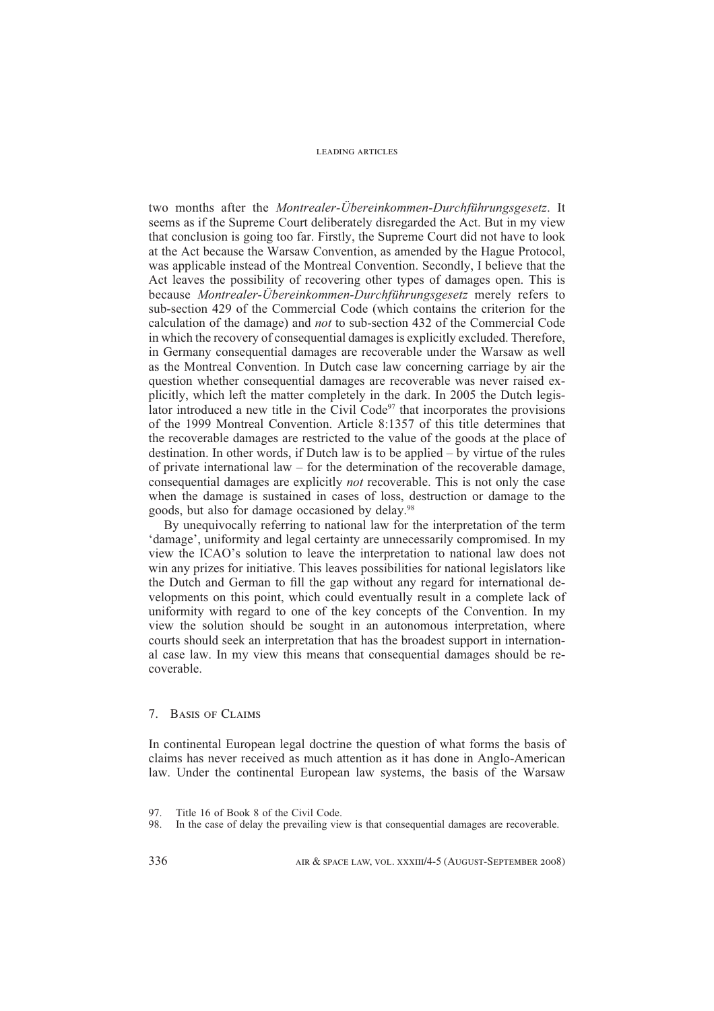two months after the *Montrealer-Übereinkommen-Durchführungsgesetz*. It seems as if the Supreme Court deliberately disregarded the Act. But in my view that conclusion is going too far. Firstly, the Supreme Court did not have to look at the Act because the Warsaw Convention, as amended by the Hague Protocol, was applicable instead of the Montreal Convention. Secondly, I believe that the Act leaves the possibility of recovering other types of damages open. This is because *Montrealer-Übereinkommen-Durchführungsgesetz* merely refers to sub-section 429 of the Commercial Code (which contains the criterion for the calculation of the damage) and *not* to sub-section 432 of the Commercial Code in which the recovery of consequential damages is explicitly excluded. Therefore, in Germany consequential damages are recoverable under the Warsaw as well as the Montreal Convention. In Dutch case law concerning carriage by air the question whether consequential damages are recoverable was never raised explicitly, which left the matter completely in the dark. In 2005 the Dutch legislator introduced a new title in the Civil Code $97$  that incorporates the provisions of the 1999 Montreal Convention. Article 8:1357 of this title determines that the recoverable damages are restricted to the value of the goods at the place of destination. In other words, if Dutch law is to be applied – by virtue of the rules of private international law  $-$  for the determination of the recoverable damage, consequential damages are explicitly *not* recoverable. This is not only the case when the damage is sustained in cases of loss, destruction or damage to the goods, but also for damage occasioned by delay.98

By unequivocally referring to national law for the interpretation of the term 'damage', uniformity and legal certainty are unnecessarily compromised. In my view the ICAO's solution to leave the interpretation to national law does not win any prizes for initiative. This leaves possibilities for national legislators like the Dutch and German to fill the gap without any regard for international developments on this point, which could eventually result in a complete lack of uniformity with regard to one of the key concepts of the Convention. In my view the solution should be sought in an autonomous interpretation, where courts should seek an interpretation that has the broadest support in international case law. In my view this means that consequential damages should be recoverable.

# 7. Basis of Claims

In continental European legal doctrine the question of what forms the basis of claims has never received as much attention as it has done in Anglo-American law. Under the continental European law systems, the basis of the Warsaw

<sup>97.</sup> Title 16 of Book 8 of the Civil Code.

<sup>98.</sup> In the case of delay the prevailing view is that consequential damages are recoverable.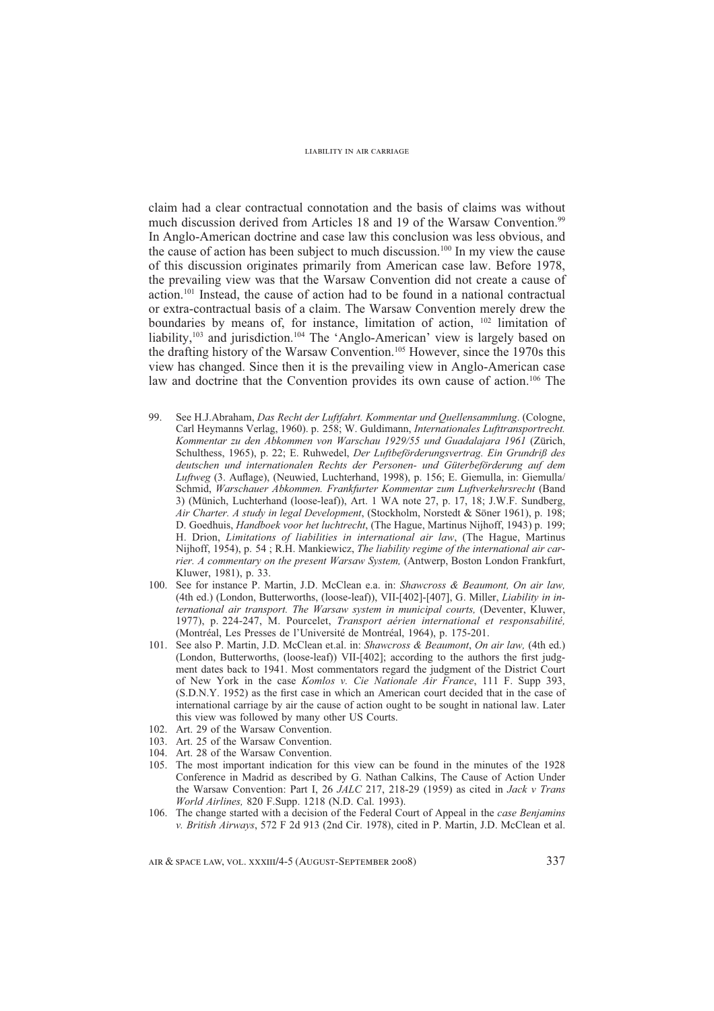claim had a clear contractual connotation and the basis of claims was without much discussion derived from Articles 18 and 19 of the Warsaw Convention.<sup>99</sup> In Anglo-American doctrine and case law this conclusion was less obvious, and the cause of action has been subject to much discussion.<sup>100</sup> In my view the cause of this discussion originates primarily from American case law. Before 1978, the prevailing view was that the Warsaw Convention did not create a cause of action.101 Instead, the cause of action had to be found in a national contractual or extra-contractual basis of a claim. The Warsaw Convention merely drew the boundaries by means of, for instance, limitation of action, <sup>102</sup> limitation of liability,<sup>103</sup> and jurisdiction.<sup>104</sup> The 'Anglo-American' view is largely based on the drafting history of the Warsaw Convention.105 However, since the 1970s this view has changed. Since then it is the prevailing view in Anglo-American case law and doctrine that the Convention provides its own cause of action.<sup>106</sup> The

- 99. See H.J.Abraham, *Das Recht der Luftfahrt. Kommentar und Quellensammlung*. (Cologne, Carl Heymanns Verlag, 1960). p. 258; W. Guldimann, *Internationales Lufttransportrecht. Kommentar zu den Abkommen von Warschau 1929/55 und Guadalajara 1961* (Zürich, Schulthess, 1965), p. 22; E. Ruhwedel, *Der Luftbeförderungsvertrag. Ein Grundriß des deutschen und internationalen Rechts der Personen- und Güterbeförderung auf dem Luftweg* (3. Auflage), (Neuwied, Luchterhand, 1998), p. 156; E. Giemulla, in: Giemulla/ Schmid, *Warschauer Abkommen. Frankfurter Kommentar zum Luftverkehrsrecht* (Band 3) (Münich, Luchterhand (loose-leaf)), Art. 1 WA note 27, p. 17, 18; J.W.F. Sundberg, *Air Charter. A study in legal Development*, (Stockholm, Norstedt & Söner 1961), p. 198; D. Goedhuis, *Handboek voor het luchtrecht*, (The Hague, Martinus Nijhoff, 1943) p. 199; H. Drion, *Limitations of liabilities in international air law*, (The Hague, Martinus Nijhoff, 1954), p. 54 ; R.H. Mankiewicz, *The liability regime of the international air carrier. A commentary on the present Warsaw System,* (Antwerp, Boston London Frankfurt, Kluwer, 1981), p. 33.
- 100. See for instance P. Martin, J.D. McClean e.a. in: *Shawcross & Beaumont, On air law,*  (4th ed.) (London, Butterworths, (loose-leaf)), VII-[402]-[407], G. Miller, *Liability in international air transport. The Warsaw system in municipal courts,* (Deventer, Kluwer, 1977), p. 224-247, M. Pourcelet, *Transport aérien international et responsabilité,*  (Montréal, Les Presses de l'Université de Montréal, 1964), p. 175-201.
- 101. See also P. Martin, J.D. McClean et.al. in: *Shawcross & Beaumont*, *On air law,* (4th ed.) (London, Butterworths, (loose-leaf)) VII-[402]; according to the authors the first judgment dates back to 1941. Most commentators regard the judgment of the District Court of New York in the case *Komlos v. Cie Nationale Air France*, 111 F. Supp 393, (S.D.N.Y. 1952) as the first case in which an American court decided that in the case of international carriage by air the cause of action ought to be sought in national law. Later this view was followed by many other US Courts.
- 102. Art. 29 of the Warsaw Convention.
- 103. Art. 25 of the Warsaw Convention.
- 104. Art. 28 of the Warsaw Convention.
- 105. The most important indication for this view can be found in the minutes of the 1928 Conference in Madrid as described by G. Nathan Calkins, The Cause of Action Under the Warsaw Convention: Part I, 26 *JALC* 217, 218-29 (1959) as cited in *Jack v Trans World Airlines,* 820 F.Supp. 1218 (N.D. Cal. 1993).
- 106. The change started with a decision of the Federal Court of Appeal in the *case Benjamins v. British Airways*, 572 F 2d 913 (2nd Cir. 1978), cited in P. Martin, J.D. McClean et al.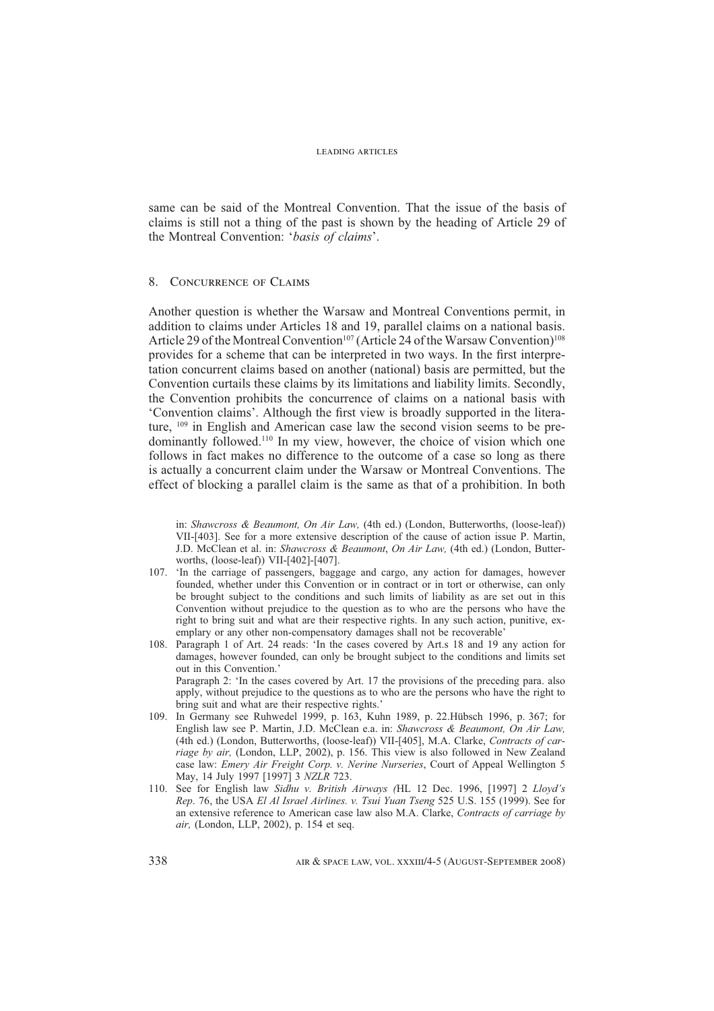same can be said of the Montreal Convention. That the issue of the basis of claims is still not a thing of the past is shown by the heading of Article 29 of the Montreal Convention: '*basis of claims*'.

## 8. Concurrence of Claims

Another question is whether the Warsaw and Montreal Conventions permit, in addition to claims under Articles 18 and 19, parallel claims on a national basis. Article 29 of the Montreal Convention<sup>107</sup> (Article 24 of the Warsaw Convention)<sup>108</sup> provides for a scheme that can be interpreted in two ways. In the first interpretation concurrent claims based on another (national) basis are permitted, but the Convention curtails these claims by its limitations and liability limits. Secondly, the Convention prohibits the concurrence of claims on a national basis with 'Convention claims'. Although the first view is broadly supported in the literature, 109 in English and American case law the second vision seems to be predominantly followed.110 In my view, however, the choice of vision which one follows in fact makes no difference to the outcome of a case so long as there is actually a concurrent claim under the Warsaw or Montreal Conventions. The effect of blocking a parallel claim is the same as that of a prohibition. In both

in: *Shawcross & Beaumont, On Air Law,* (4th ed.) (London, Butterworths, (loose-leaf)) VII-[403]. See for a more extensive description of the cause of action issue P. Martin, J.D. McClean et al. in: *Shawcross & Beaumont*, *On Air Law,* (4th ed.) (London, Butterworths, (loose-leaf)) VII-[402]-[407].

- 107. 'In the carriage of passengers, baggage and cargo, any action for damages, however founded, whether under this Convention or in contract or in tort or otherwise, can only be brought subject to the conditions and such limits of liability as are set out in this Convention without prejudice to the question as to who are the persons who have the right to bring suit and what are their respective rights. In any such action, punitive, exemplary or any other non-compensatory damages shall not be recoverable'
- 108. Paragraph 1 of Art. 24 reads: 'In the cases covered by Art.s 18 and 19 any action for damages, however founded, can only be brought subject to the conditions and limits set out in this Convention.'

 Paragraph 2: 'In the cases covered by Art. 17 the provisions of the preceding para. also apply, without prejudice to the questions as to who are the persons who have the right to bring suit and what are their respective rights.'

- 109. In Germany see Ruhwedel 1999, p. 163, Kuhn 1989, p. 22.Hübsch 1996, p. 367; for English law see P. Martin, J.D. McClean e.a. in: *Shawcross & Beaumont, On Air Law,*  (4th ed.) (London, Butterworths, (loose-leaf)) VII-[405], M.A. Clarke, *Contracts of carriage by air,* (London, LLP, 2002), p. 156. This view is also followed in New Zealand case law: *Emery Air Freight Corp. v. Nerine Nurseries*, Court of Appeal Wellington 5 May, 14 July 1997 [1997] 3 *NZLR* 723.
- 110. See for English law *Sidhu v. British Airways (*HL 12 Dec. 1996, [1997] 2 *Lloyd's Rep*. 76, the USA *El Al Israel Airlines. v. Tsui Yuan Tseng* 525 U.S. 155 (1999). See for an extensive reference to American case law also M.A. Clarke, *Contracts of carriage by air,* (London, LLP, 2002), p. 154 et seq.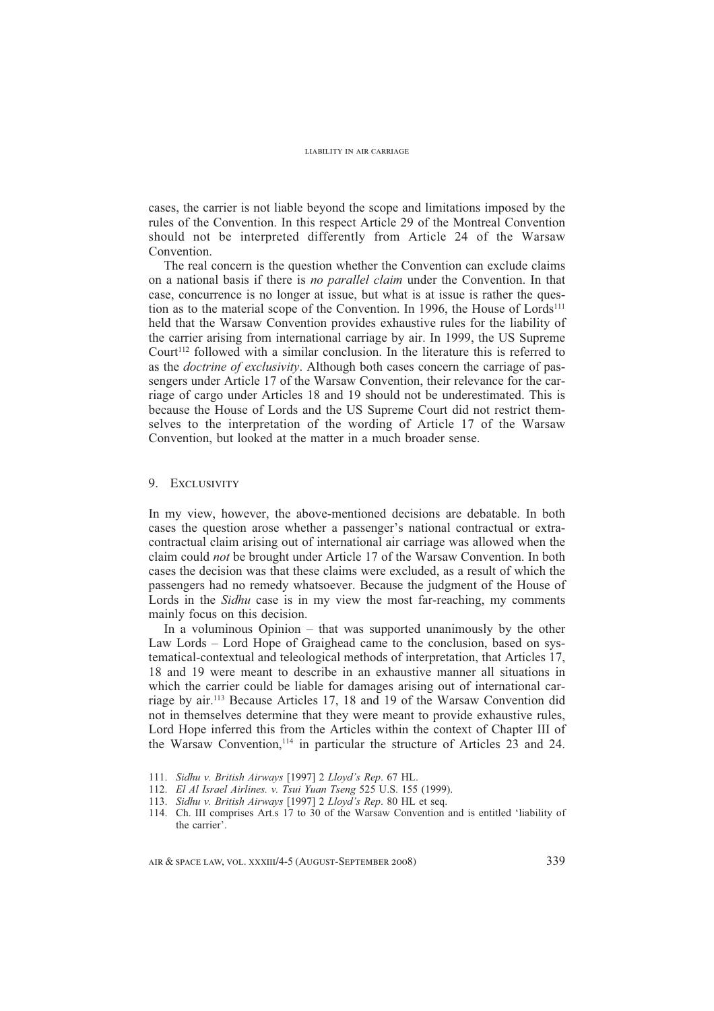cases, the carrier is not liable beyond the scope and limitations imposed by the rules of the Convention. In this respect Article 29 of the Montreal Convention should not be interpreted differently from Article 24 of the Warsaw Convention.

The real concern is the question whether the Convention can exclude claims on a national basis if there is *no parallel claim* under the Convention. In that case, concurrence is no longer at issue, but what is at issue is rather the question as to the material scope of the Convention. In 1996, the House of Lords<sup>111</sup> held that the Warsaw Convention provides exhaustive rules for the liability of the carrier arising from international carriage by air. In 1999, the US Supreme  $Count<sup>112</sup>$  followed with a similar conclusion. In the literature this is referred to as the *doctrine of exclusivity*. Although both cases concern the carriage of passengers under Article 17 of the Warsaw Convention, their relevance for the carriage of cargo under Articles 18 and 19 should not be underestimated. This is because the House of Lords and the US Supreme Court did not restrict themselves to the interpretation of the wording of Article 17 of the Warsaw Convention, but looked at the matter in a much broader sense.

# 9. Exclusivity

In my view, however, the above-mentioned decisions are debatable. In both cases the question arose whether a passenger's national contractual or extracontractual claim arising out of international air carriage was allowed when the claim could *not* be brought under Article 17 of the Warsaw Convention. In both cases the decision was that these claims were excluded, as a result of which the passengers had no remedy whatsoever. Because the judgment of the House of Lords in the *Sidhu* case is in my view the most far-reaching, my comments mainly focus on this decision.

In a voluminous Opinion – that was supported unanimously by the other Law Lords – Lord Hope of Graighead came to the conclusion, based on systematical-contextual and teleological methods of interpretation, that Articles 17, 18 and 19 were meant to describe in an exhaustive manner all situations in which the carrier could be liable for damages arising out of international carriage by air.113 Because Articles 17, 18 and 19 of the Warsaw Convention did not in themselves determine that they were meant to provide exhaustive rules, Lord Hope inferred this from the Articles within the context of Chapter III of the Warsaw Convention,<sup>114</sup> in particular the structure of Articles  $23$  and 24.

- 112. *El Al Israel Airlines. v. Tsui Yuan Tseng* 525 U.S. 155 (1999).
- 113. *Sidhu v. British Airways* [1997] 2 *Lloyd's Rep*. 80 HL et seq.
- 114. Ch. III comprises Art.s 17 to 30 of the Warsaw Convention and is entitled 'liability of the carrier'.

<sup>111.</sup> *Sidhu v. British Airways* [1997] 2 *Lloyd's Rep*. 67 HL.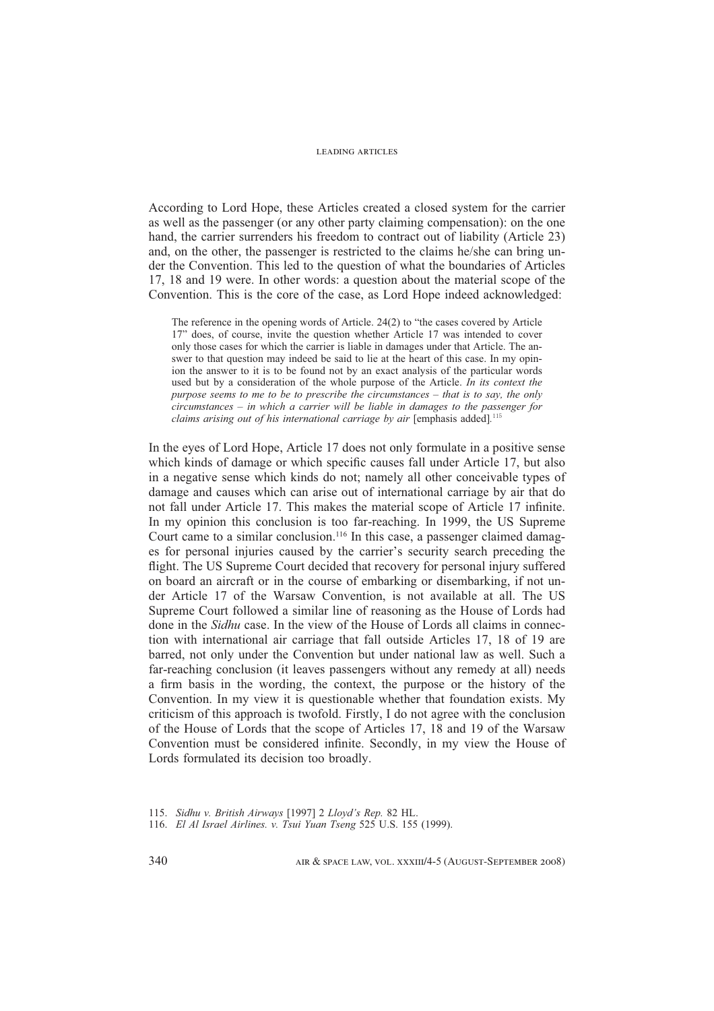According to Lord Hope, these Articles created a closed system for the carrier as well as the passenger (or any other party claiming compensation): on the one hand, the carrier surrenders his freedom to contract out of liability (Article 23) and, on the other, the passenger is restricted to the claims he/she can bring under the Convention. This led to the question of what the boundaries of Articles 17, 18 and 19 were. In other words: a question about the material scope of the Convention. This is the core of the case, as Lord Hope indeed acknowledged:

The reference in the opening words of Article. 24(2) to "the cases covered by Article 17" does, of course, invite the question whether Article 17 was intended to cover only those cases for which the carrier is liable in damages under that Article. The answer to that question may indeed be said to lie at the heart of this case. In my opinion the answer to it is to be found not by an exact analysis of the particular words used but by a consideration of the whole purpose of the Article. *In its context the purpose seems to me to be to prescribe the circumstances – that is to say, the only circumstances – in which a carrier will be liable in damages to the passenger for claims arising out of his international carriage by air* [emphasis added]*.*

In the eyes of Lord Hope, Article 17 does not only formulate in a positive sense which kinds of damage or which specific causes fall under Article 17, but also in a negative sense which kinds do not; namely all other conceivable types of damage and causes which can arise out of international carriage by air that do not fall under Article 17. This makes the material scope of Article 17 infinite. In my opinion this conclusion is too far-reaching. In 1999, the US Supreme Court came to a similar conclusion.<sup>116</sup> In this case, a passenger claimed damages for personal injuries caused by the carrier's security search preceding the flight. The US Supreme Court decided that recovery for personal injury suffered on board an aircraft or in the course of embarking or disembarking, if not under Article 17 of the Warsaw Convention, is not available at all. The US Supreme Court followed a similar line of reasoning as the House of Lords had done in the *Sidhu* case. In the view of the House of Lords all claims in connection with international air carriage that fall outside Articles 17, 18 of 19 are barred, not only under the Convention but under national law as well. Such a far-reaching conclusion (it leaves passengers without any remedy at all) needs a firm basis in the wording, the context, the purpose or the history of the Convention. In my view it is questionable whether that foundation exists. My criticism of this approach is twofold. Firstly, I do not agree with the conclusion of the House of Lords that the scope of Articles 17, 18 and 19 of the Warsaw Convention must be considered infinite. Secondly, in my view the House of Lords formulated its decision too broadly.

<sup>115.</sup> *Sidhu v. British Airways* [1997] 2 *Lloyd's Rep.* 82 HL.

<sup>116.</sup> *El Al Israel Airlines. v. Tsui Yuan Tseng* 525 U.S. 155 (1999).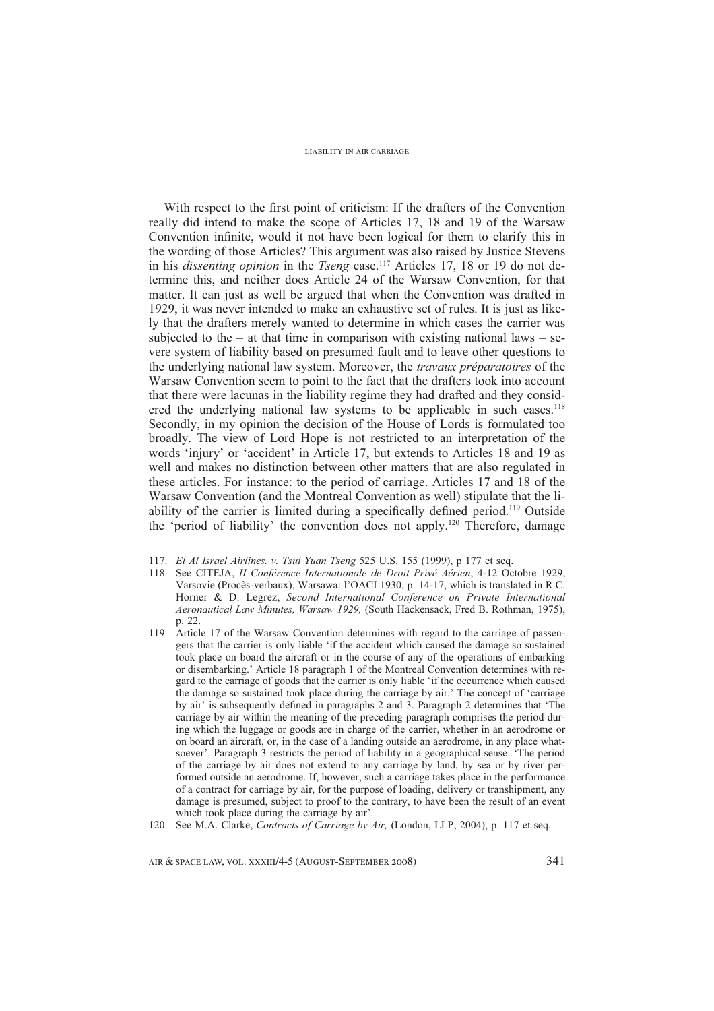With respect to the first point of criticism: If the drafters of the Convention really did intend to make the scope of Articles 17, 18 and 19 of the Warsaw Convention infinite, would it not have been logical for them to clarify this in the wording of those Articles? This argument was also raised by Justice Stevens in his *dissenting opinion* in the *Tseng* case.<sup>117</sup> Articles 17, 18 or 19 do not determine this, and neither does Article 24 of the Warsaw Convention, for that matter. It can just as well be argued that when the Convention was drafted in 1929, it was never intended to make an exhaustive set of rules. It is just as likely that the drafters merely wanted to determine in which cases the carrier was subjected to the – at that time in comparison with existing national laws – severe system of liability based on presumed fault and to leave other questions to the underlying national law system. Moreover, the *travaux préparatoires* of the Warsaw Convention seem to point to the fact that the drafters took into account that there were lacunas in the liability regime they had drafted and they considered the underlying national law systems to be applicable in such cases.<sup>118</sup> Secondly, in my opinion the decision of the House of Lords is formulated too broadly. The view of Lord Hope is not restricted to an interpretation of the words 'injury' or 'accident' in Article 17, but extends to Articles 18 and 19 as well and makes no distinction between other matters that are also regulated in these articles. For instance: to the period of carriage. Articles 17 and 18 of the Warsaw Convention (and the Montreal Convention as well) stipulate that the liability of the carrier is limited during a specifically defined period.<sup>119</sup> Outside the 'period of liability' the convention does not apply.120 Therefore, damage

- 117. *El Al Israel Airlines. v. Tsui Yuan Tseng* 525 U.S. 155 (1999), p 177 et seq.
- 118. See CITEJA, *II Conférence Internationale de Droit Privé Aérien*, 4-12 Octobre 1929, Varsovie (Procès-verbaux), Warsawa: l'OACI 1930, p. 14-17, which is translated in R.C. Horner & D. Legrez, *Second International Conference on Private International Aeronautical Law Minutes, Warsaw 1929,* (South Hackensack, Fred B. Rothman, 1975), p. 22.
- 119. Article 17 of the Warsaw Convention determines with regard to the carriage of passengers that the carrier is only liable 'if the accident which caused the damage so sustained took place on board the aircraft or in the course of any of the operations of embarking or disembarking.' Article 18 paragraph 1 of the Montreal Convention determines with regard to the carriage of goods that the carrier is only liable 'if the occurrence which caused the damage so sustained took place during the carriage by air.' The concept of 'carriage by air' is subsequently defined in paragraphs 2 and 3. Paragraph 2 determines that 'The carriage by air within the meaning of the preceding paragraph comprises the period during which the luggage or goods are in charge of the carrier, whether in an aerodrome or on board an aircraft, or, in the case of a landing outside an aerodrome, in any place whatsoever'. Paragraph 3 restricts the period of liability in a geographical sense: 'The period of the carriage by air does not extend to any carriage by land, by sea or by river performed outside an aerodrome. If, however, such a carriage takes place in the performance of a contract for carriage by air, for the purpose of loading, delivery or transhipment, any damage is presumed, subject to proof to the contrary, to have been the result of an event which took place during the carriage by air'.
- 120. See M.A. Clarke, *Contracts of Carriage by Air,* (London, LLP, 2004), p. 117 et seq.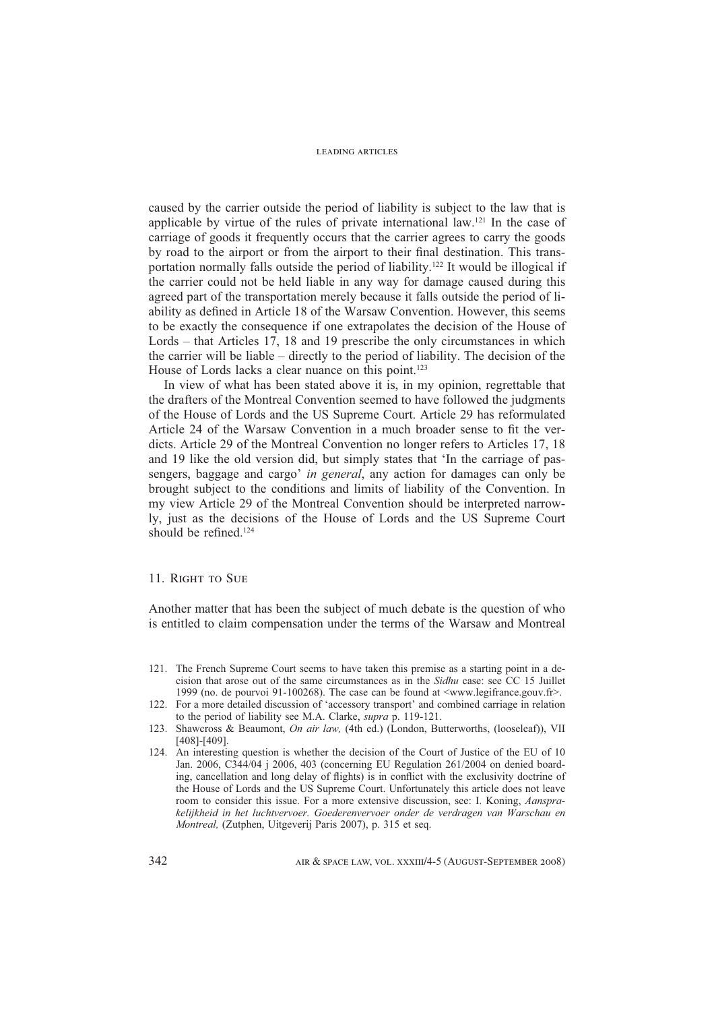caused by the carrier outside the period of liability is subject to the law that is applicable by virtue of the rules of private international law.121 In the case of carriage of goods it frequently occurs that the carrier agrees to carry the goods by road to the airport or from the airport to their final destination. This transportation normally falls outside the period of liability.122 It would be illogical if the carrier could not be held liable in any way for damage caused during this agreed part of the transportation merely because it falls outside the period of liability as defined in Article 18 of the Warsaw Convention. However, this seems to be exactly the consequence if one extrapolates the decision of the House of Lords – that Articles 17, 18 and 19 prescribe the only circumstances in which the carrier will be liable – directly to the period of liability. The decision of the House of Lords lacks a clear nuance on this point.<sup>123</sup>

In view of what has been stated above it is, in my opinion, regrettable that the drafters of the Montreal Convention seemed to have followed the judgments of the House of Lords and the US Supreme Court. Article 29 has reformulated Article 24 of the Warsaw Convention in a much broader sense to fit the verdicts. Article 29 of the Montreal Convention no longer refers to Articles 17, 18 and 19 like the old version did, but simply states that 'In the carriage of passengers, baggage and cargo' *in general*, any action for damages can only be brought subject to the conditions and limits of liability of the Convention. In my view Article 29 of the Montreal Convention should be interpreted narrowly, just as the decisions of the House of Lords and the US Supreme Court should be refined.<sup>124</sup>

#### 11. RIGHT TO SUE

Another matter that has been the subject of much debate is the question of who is entitled to claim compensation under the terms of the Warsaw and Montreal

- 121. The French Supreme Court seems to have taken this premise as a starting point in a decision that arose out of the same circumstances as in the *Sidhu* case: see CC 15 Juillet 1999 (no. de pourvoi 91-100268). The case can be found at <www.legifrance.gouv.fr>.
- 122. For a more detailed discussion of 'accessory transport' and combined carriage in relation to the period of liability see M.A. Clarke, *supra* p. 119-121.
- 123. Shawcross & Beaumont, *On air law,* (4th ed.) (London, Butterworths, (looseleaf)), VII [408]-[409].
- 124. An interesting question is whether the decision of the Court of Justice of the EU of 10 Jan. 2006, C344/04 j 2006, 403 (concerning EU Regulation 261/2004 on denied boarding, cancellation and long delay of flights) is in conflict with the exclusivity doctrine of the House of Lords and the US Supreme Court. Unfortunately this article does not leave room to consider this issue. For a more extensive discussion, see: I. Koning, *Aansprakelijkheid in het luchtvervoer. Goederenvervoer onder de verdragen van Warschau en Montreal,* (Zutphen, Uitgeverij Paris 2007), p. 315 et seq.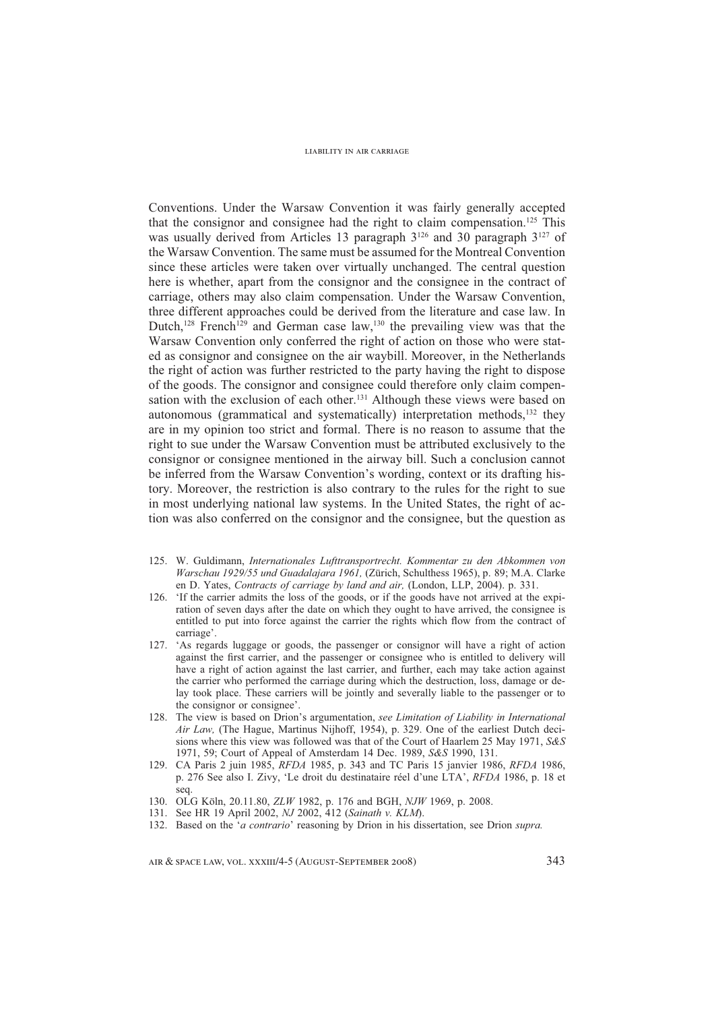Conventions. Under the Warsaw Convention it was fairly generally accepted that the consignor and consignee had the right to claim compensation.<sup>125</sup> This was usually derived from Articles 13 paragraph  $3^{126}$  and 30 paragraph  $3^{127}$  of the Warsaw Convention. The same must be assumed for the Montreal Convention since these articles were taken over virtually unchanged. The central question here is whether, apart from the consignor and the consignee in the contract of carriage, others may also claim compensation. Under the Warsaw Convention, three different approaches could be derived from the literature and case law. In Dutch,<sup>128</sup> French<sup>129</sup> and German case law,<sup>130</sup> the prevailing view was that the Warsaw Convention only conferred the right of action on those who were stated as consignor and consignee on the air waybill. Moreover, in the Netherlands the right of action was further restricted to the party having the right to dispose of the goods. The consignor and consignee could therefore only claim compensation with the exclusion of each other.<sup>131</sup> Although these views were based on autonomous (grammatical and systematically) interpretation methods, $132$  they are in my opinion too strict and formal. There is no reason to assume that the right to sue under the Warsaw Convention must be attributed exclusively to the consignor or consignee mentioned in the airway bill. Such a conclusion cannot be inferred from the Warsaw Convention's wording, context or its drafting history. Moreover, the restriction is also contrary to the rules for the right to sue in most underlying national law systems. In the United States, the right of action was also conferred on the consignor and the consignee, but the question as

- 125. W. Guldimann, *Internationales Lufttransportrecht. Kommentar zu den Abkommen von Warschau 1929/55 und Guadalajara 1961,* (Zürich, Schulthess 1965), p. 89; M.A. Clarke en D. Yates, *Contracts of carriage by land and air,* (London, LLP, 2004). p. 331.
- 126. 'If the carrier admits the loss of the goods, or if the goods have not arrived at the expiration of seven days after the date on which they ought to have arrived, the consignee is entitled to put into force against the carrier the rights which flow from the contract of carriage'.
- 127. 'As regards luggage or goods, the passenger or consignor will have a right of action against the first carrier, and the passenger or consignee who is entitled to delivery will have a right of action against the last carrier, and further, each may take action against the carrier who performed the carriage during which the destruction, loss, damage or delay took place. These carriers will be jointly and severally liable to the passenger or to the consignor or consignee'.
- 128. The view is based on Drion's argumentation, *see Limitation of Liability in International Air Law,* (The Hague, Martinus Nijhoff, 1954), p. 329. One of the earliest Dutch decisions where this view was followed was that of the Court of Haarlem 25 May 1971, *S&S* 1971, 59; Court of Appeal of Amsterdam 14 Dec. 1989, *S&S* 1990, 131.
- 129. CA Paris 2 juin 1985, *RFDA* 1985, p. 343 and TC Paris 15 janvier 1986, *RFDA* 1986, p. 276 See also I. Zivy, 'Le droit du destinataire réel d'une LTA', *RFDA* 1986, p. 18 et seq.
- 130. OLG Köln, 20.11.80, *ZLW* 1982, p. 176 and BGH, *NJW* 1969, p. 2008.
- 131. See HR 19 April 2002, *NJ* 2002, 412 (*Sainath v. KLM*).
- 132. Based on the '*a contrario*' reasoning by Drion in his dissertation, see Drion *supra.*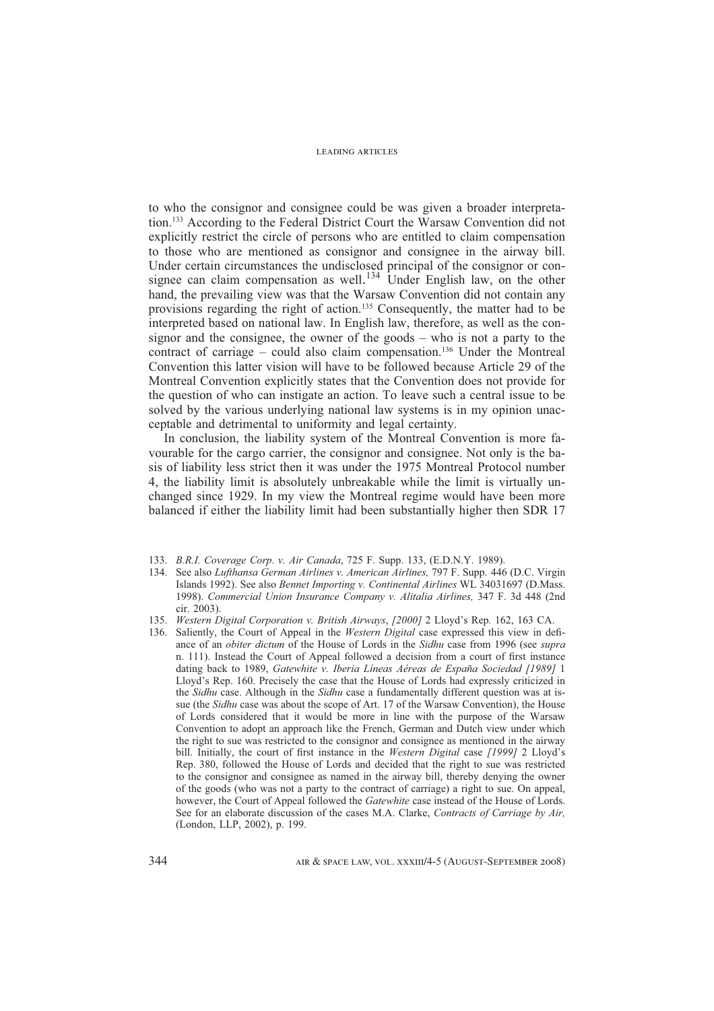to who the consignor and consignee could be was given a broader interpretation.133 According to the Federal District Court the Warsaw Convention did not explicitly restrict the circle of persons who are entitled to claim compensation to those who are mentioned as consignor and consignee in the airway bill. Under certain circumstances the undisclosed principal of the consignor or consignee can claim compensation as well.<sup>134</sup> Under English law, on the other hand, the prevailing view was that the Warsaw Convention did not contain any provisions regarding the right of action.135 Consequently, the matter had to be interpreted based on national law. In English law, therefore, as well as the consignor and the consignee, the owner of the goods – who is not a party to the contract of carriage – could also claim compensation.<sup>136</sup> Under the Montreal Convention this latter vision will have to be followed because Article 29 of the Montreal Convention explicitly states that the Convention does not provide for the question of who can instigate an action. To leave such a central issue to be solved by the various underlying national law systems is in my opinion unacceptable and detrimental to uniformity and legal certainty.

In conclusion, the liability system of the Montreal Convention is more favourable for the cargo carrier, the consignor and consignee. Not only is the basis of liability less strict then it was under the 1975 Montreal Protocol number 4, the liability limit is absolutely unbreakable while the limit is virtually unchanged since 1929. In my view the Montreal regime would have been more balanced if either the liability limit had been substantially higher then SDR 17

- 133. *B.R.I. Coverage Corp. v. Air Canada*, 725 F. Supp. 133, (E.D.N.Y. 1989).
- 134. See also *Lufthansa German Airlines v. American Airlines,* 797 F. Supp. 446 (D.C. Virgin Islands 1992). See also *Bennet Importing v. Continental Airlines* WL 34031697 (D.Mass. 1998). *Commercial Union Insurance Company v. Alitalia Airlines,* 347 F. 3d 448 (2nd cir. 2003).
- 135. *Western Digital Corporation v. British Airways*, *[2000]* 2 Lloyd's Rep*.* 162, 163 CA.
- 136. Saliently, the Court of Appeal in the *Western Digital* case expressed this view in defiance of an *obiter dictum* of the House of Lords in the *Sidhu* case from 1996 (see *supra*  n. 111). Instead the Court of Appeal followed a decision from a court of first instance dating back to 1989, *Gatewhite v. Iberia Líneas Aéreas de España Sociedad [1989]* 1 Lloyd's Rep. 160. Precisely the case that the House of Lords had expressly criticized in the *Sidhu* case. Although in the *Sidhu* case a fundamentally different question was at issue (the *Sidhu* case was about the scope of Art. 17 of the Warsaw Convention), the House of Lords considered that it would be more in line with the purpose of the Warsaw Convention to adopt an approach like the French, German and Dutch view under which the right to sue was restricted to the consignor and consignee as mentioned in the airway bill. Initially, the court of first instance in the *Western Digital* case [1999] 2 Lloyd's Rep. 380, followed the House of Lords and decided that the right to sue was restricted to the consignor and consignee as named in the airway bill, thereby denying the owner of the goods (who was not a party to the contract of carriage) a right to sue. On appeal, however, the Court of Appeal followed the *Gatewhite* case instead of the House of Lords. See for an elaborate discussion of the cases M.A. Clarke, *Contracts of Carriage by Air,*  (London, LLP, 2002), p. 199.